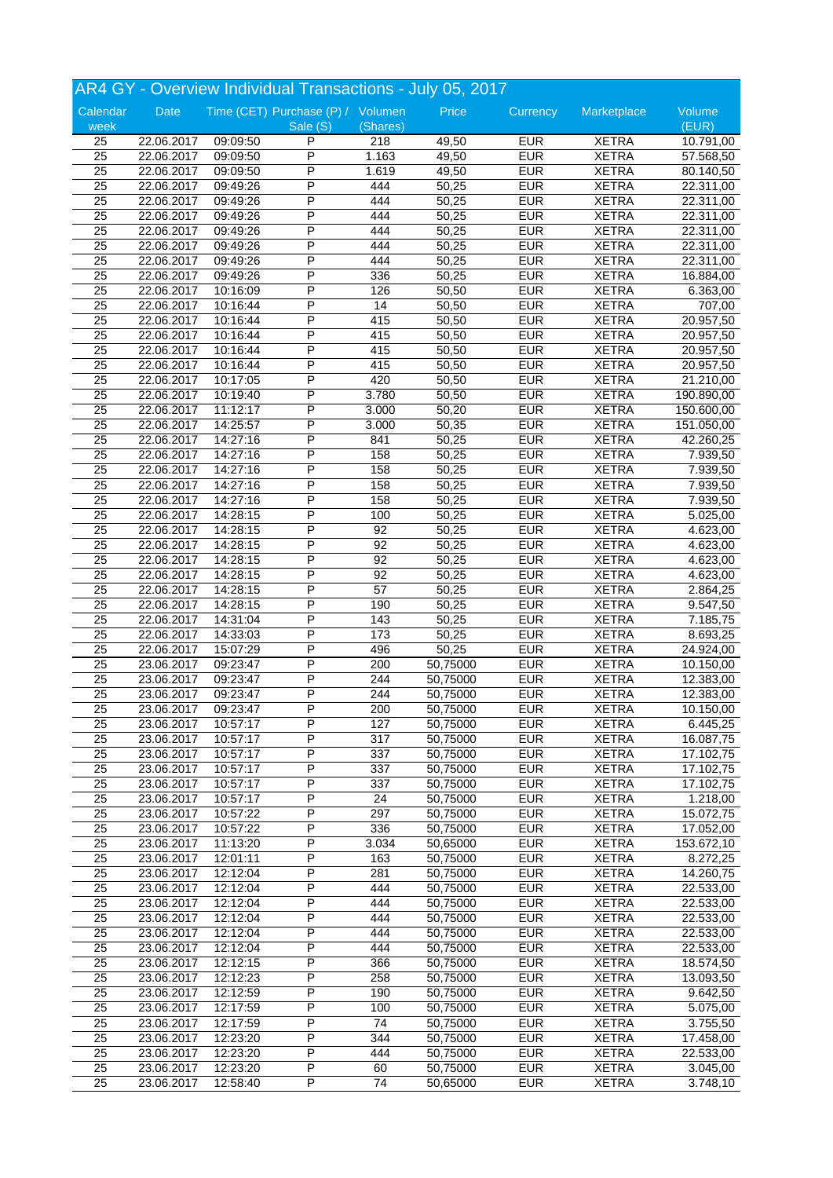|                 |                     |          | AR4 GY - Overview Individual Transactions - July 05, 2017 |          |          |            |              |            |
|-----------------|---------------------|----------|-----------------------------------------------------------|----------|----------|------------|--------------|------------|
| Calendar        | Date                |          | Time (CET) Purchase (P) / Volumen                         |          | Price    | Currency   | Marketplace  | Volume     |
| week            |                     |          | Sale (S)                                                  | (Shares) |          |            |              | (EUR)      |
| 25              | 22.06.2017          | 09:09:50 | P                                                         | 218      | 49,50    | <b>EUR</b> | <b>XETRA</b> | 10.791,00  |
| $\overline{25}$ | 22.06.2017          | 09:09:50 | P                                                         | 1.163    | 49,50    | <b>EUR</b> | <b>XETRA</b> | 57.568,50  |
| 25              | 22.06.2017          | 09:09:50 | P                                                         | 1.619    | 49,50    | <b>EUR</b> | <b>XETRA</b> | 80.140,50  |
| 25              | 22.06.2017          | 09:49:26 | P                                                         | 444      | 50,25    | <b>EUR</b> | <b>XETRA</b> | 22.311,00  |
| 25              | 22.06.2017          | 09:49:26 | P                                                         | 444      | 50,25    | <b>EUR</b> | <b>XETRA</b> | 22.311,00  |
| 25              | 22.06.2017          | 09:49:26 | P                                                         | 444      | 50,25    | <b>EUR</b> | <b>XETRA</b> | 22.311,00  |
|                 |                     |          | P                                                         |          |          |            |              |            |
| $\overline{25}$ | 22.06.2017          | 09:49:26 |                                                           | 444      | 50,25    | <b>EUR</b> | <b>XETRA</b> | 22.311,00  |
| 25              | 22.06.2017          | 09:49:26 | P                                                         | 444      | 50,25    | <b>EUR</b> | <b>XETRA</b> | 22.311,00  |
| $\overline{25}$ | 22.06.2017          | 09:49:26 | P                                                         | 444      | 50,25    | <b>EUR</b> | <b>XETRA</b> | 22.311,00  |
| 25              | 22.06.2017          | 09:49:26 | P                                                         | 336      | 50,25    | <b>EUR</b> | <b>XETRA</b> | 16.884,00  |
| $\overline{25}$ | 22.06.2017          | 10:16:09 | P                                                         | 126      | 50,50    | <b>EUR</b> | <b>XETRA</b> | 6.363,00   |
| 25              | 22.06.2017          | 10:16:44 | P                                                         | 14       | 50,50    | <b>EUR</b> | <b>XETRA</b> | 707,00     |
| $\overline{25}$ | 22.06.2017          | 10:16:44 | P                                                         | 415      | 50,50    | <b>EUR</b> | <b>XETRA</b> | 20.957,50  |
| 25              | 22.06.2017          | 10:16:44 | P                                                         | 415      | 50,50    | <b>EUR</b> | <b>XETRA</b> | 20.957,50  |
| $\overline{25}$ | 22.06.2017          | 10:16:44 | P                                                         | 415      | 50,50    | <b>EUR</b> | <b>XETRA</b> | 20.957,50  |
| $\overline{25}$ | 22.06.2017          | 10:16:44 | P                                                         | 415      | 50,50    | <b>EUR</b> | <b>XETRA</b> | 20.957,50  |
| $\overline{25}$ | 22.06.2017          | 10:17:05 | P                                                         | 420      | 50,50    | <b>EUR</b> | <b>XETRA</b> | 21.210,00  |
| 25              | 22.06.2017          | 10:19:40 | P                                                         | 3.780    | 50,50    | <b>EUR</b> | <b>XETRA</b> | 190.890,00 |
| $\overline{25}$ | 22.06.2017          | 11:12:17 | P                                                         | 3.000    | 50,20    | <b>EUR</b> | <b>XETRA</b> | 150.600,00 |
|                 |                     |          | P                                                         |          |          |            |              |            |
| 25              | 22.06.2017          | 14:25:57 |                                                           | 3.000    | 50,35    | <b>EUR</b> | <b>XETRA</b> | 151.050,00 |
| 25              | 22.06.2017          | 14:27:16 | P                                                         | 841      | 50,25    | <b>EUR</b> | <b>XETRA</b> | 42.260,25  |
| 25              | 22.06.2017          | 14:27:16 | P                                                         | 158      | 50,25    | <b>EUR</b> | <b>XETRA</b> | 7.939,50   |
| $\overline{25}$ | 22.06.2017          | 14:27:16 | P                                                         | 158      | 50,25    | <b>EUR</b> | <b>XETRA</b> | 7.939,50   |
| 25              | 22.06.2017          | 14:27:16 | Ρ                                                         | 158      | 50,25    | <b>EUR</b> | <b>XETRA</b> | 7.939,50   |
| 25              | 22.06.2017          | 14:27:16 | P                                                         | 158      | 50,25    | <b>EUR</b> | <b>XETRA</b> | 7.939,50   |
| 25              | 22.06.2017          | 14:28:15 | P                                                         | 100      | 50,25    | <b>EUR</b> | <b>XETRA</b> | 5.025,00   |
| $\overline{25}$ | 22.06.2017          | 14:28:15 | P                                                         | 92       | 50,25    | <b>EUR</b> | <b>XETRA</b> | 4.623,00   |
| 25              | 22.06.2017          | 14:28:15 | P                                                         | 92       | 50,25    | <b>EUR</b> | <b>XETRA</b> | 4.623,00   |
| 25              | 22.06.2017          | 14:28:15 | P                                                         | 92       | 50,25    | <b>EUR</b> | <b>XETRA</b> | 4.623,00   |
| $\overline{25}$ | 22.06.2017          | 14:28:15 | P                                                         | 92       | 50,25    | <b>EUR</b> | <b>XETRA</b> | 4.623,00   |
| 25              | 22.06.2017          | 14:28:15 | P                                                         | 57       | 50,25    | <b>EUR</b> | <b>XETRA</b> | 2.864,25   |
|                 |                     |          |                                                           |          |          |            |              |            |
| 25              | 22.06.2017          | 14:28:15 | P                                                         | 190      | 50,25    | <b>EUR</b> | <b>XETRA</b> | 9.547,50   |
| 25              | 22.06.2017          | 14:31:04 | P                                                         | 143      | 50,25    | <b>EUR</b> | <b>XETRA</b> | 7.185,75   |
| 25              | 22.06.2017          | 14:33:03 | P                                                         | 173      | 50,25    | <b>EUR</b> | <b>XETRA</b> | 8.693,25   |
| 25              | 22.06.2017          | 15:07:29 | P                                                         | 496      | 50,25    | <b>EUR</b> | <b>XETRA</b> | 24.924,00  |
| 25              | 23.06.2017          | 09:23:47 | P                                                         | 200      | 50,75000 | <b>EUR</b> | <b>XETRA</b> | 10.150,00  |
| 25              | 23.06.2017          | 09:23:47 | P                                                         | 244      | 50,75000 | <b>EUR</b> | <b>XETRA</b> | 12.383,00  |
| 25              | 23.06.2017          | 09:23:47 | P                                                         | 244      | 50,75000 | <b>EUR</b> | <b>XETRA</b> | 12.383,00  |
| 25              | 23.06.2017 09:23:47 |          | $\overline{P}$                                            | 200      | 50,75000 | <b>EUR</b> | <b>XETRA</b> | 10.150,00  |
| 25              | 23.06.2017          | 10:57:17 | P                                                         | 127      | 50,75000 | <b>EUR</b> | <b>XETRA</b> | 6.445,25   |
| 25              | 23.06.2017          | 10:57:17 | P                                                         | 317      | 50,75000 | <b>EUR</b> | <b>XETRA</b> | 16.087,75  |
| 25              | 23.06.2017          | 10:57:17 | P                                                         | 337      | 50,75000 | <b>EUR</b> | <b>XETRA</b> | 17.102,75  |
| $\overline{25}$ | 23.06.2017          | 10:57:17 | P                                                         | 337      | 50,75000 | <b>EUR</b> | <b>XETRA</b> | 17.102,75  |
| 25              |                     |          | Ρ                                                         | 337      | 50,75000 | <b>EUR</b> | <b>XETRA</b> | 17.102,75  |
|                 | 23.06.2017          | 10:57:17 |                                                           |          |          |            |              |            |
| 25              | 23.06.2017          | 10:57:17 | P                                                         | 24       | 50,75000 | <b>EUR</b> | <b>XETRA</b> | 1.218,00   |
| 25              | 23.06.2017          | 10:57:22 | Ρ                                                         | 297      | 50,75000 | <b>EUR</b> | <b>XETRA</b> | 15.072,75  |
| 25              | 23.06.2017          | 10:57:22 | Ρ                                                         | 336      | 50,75000 | <b>EUR</b> | <b>XETRA</b> | 17.052,00  |
| 25              | 23.06.2017          | 11:13:20 | P                                                         | 3.034    | 50,65000 | <b>EUR</b> | <b>XETRA</b> | 153.672,10 |
| 25              | 23.06.2017          | 12:01:11 | Ρ                                                         | 163      | 50,75000 | <b>EUR</b> | <b>XETRA</b> | 8.272,25   |
| 25              | 23.06.2017          | 12:12:04 | Ρ                                                         | 281      | 50,75000 | <b>EUR</b> | <b>XETRA</b> | 14.260,75  |
| 25              | 23.06.2017          | 12:12:04 | Ρ                                                         | 444      | 50,75000 | <b>EUR</b> | <b>XETRA</b> | 22.533,00  |
| 25              | 23.06.2017          | 12:12:04 | P                                                         | 444      | 50,75000 | <b>EUR</b> | <b>XETRA</b> | 22.533,00  |
| 25              | 23.06.2017          | 12:12:04 | P                                                         | 444      | 50,75000 | <b>EUR</b> | <b>XETRA</b> | 22.533,00  |
| 25              | 23.06.2017          | 12:12:04 | P                                                         | 444      | 50,75000 | <b>EUR</b> | <b>XETRA</b> | 22.533,00  |
| 25              | 23.06.2017          | 12:12:04 | Ρ                                                         | 444      | 50,75000 | <b>EUR</b> | <b>XETRA</b> | 22.533,00  |
|                 |                     |          |                                                           |          |          |            |              |            |
| 25              | 23.06.2017          | 12:12:15 | P                                                         | 366      | 50,75000 | <b>EUR</b> | <b>XETRA</b> | 18.574,50  |
| $\overline{25}$ | 23.06.2017          | 12:12:23 | P                                                         | 258      | 50,75000 | <b>EUR</b> | <b>XETRA</b> | 13.093,50  |
| 25              | 23.06.2017          | 12:12:59 | Ρ                                                         | 190      | 50,75000 | <b>EUR</b> | <b>XETRA</b> | 9.642,50   |
| 25              | 23.06.2017          | 12:17:59 | P                                                         | 100      | 50,75000 | <b>EUR</b> | <b>XETRA</b> | 5.075,00   |
| 25              | 23.06.2017          | 12:17:59 | Ρ                                                         | 74       | 50,75000 | <b>EUR</b> | <b>XETRA</b> | 3.755,50   |
| 25              | 23.06.2017          | 12:23:20 | P                                                         | 344      | 50,75000 | <b>EUR</b> | <b>XETRA</b> | 17.458,00  |
| 25              | 23.06.2017          | 12:23:20 | P                                                         | 444      | 50,75000 | <b>EUR</b> | <b>XETRA</b> | 22.533,00  |
| 25              | 23.06.2017          | 12:23:20 | P                                                         | 60       | 50,75000 | <b>EUR</b> | <b>XETRA</b> | 3.045,00   |
| 25              | 23.06.2017          | 12:58:40 | P                                                         | 74       | 50,65000 | <b>EUR</b> | <b>XETRA</b> | 3.748,10   |
|                 |                     |          |                                                           |          |          |            |              |            |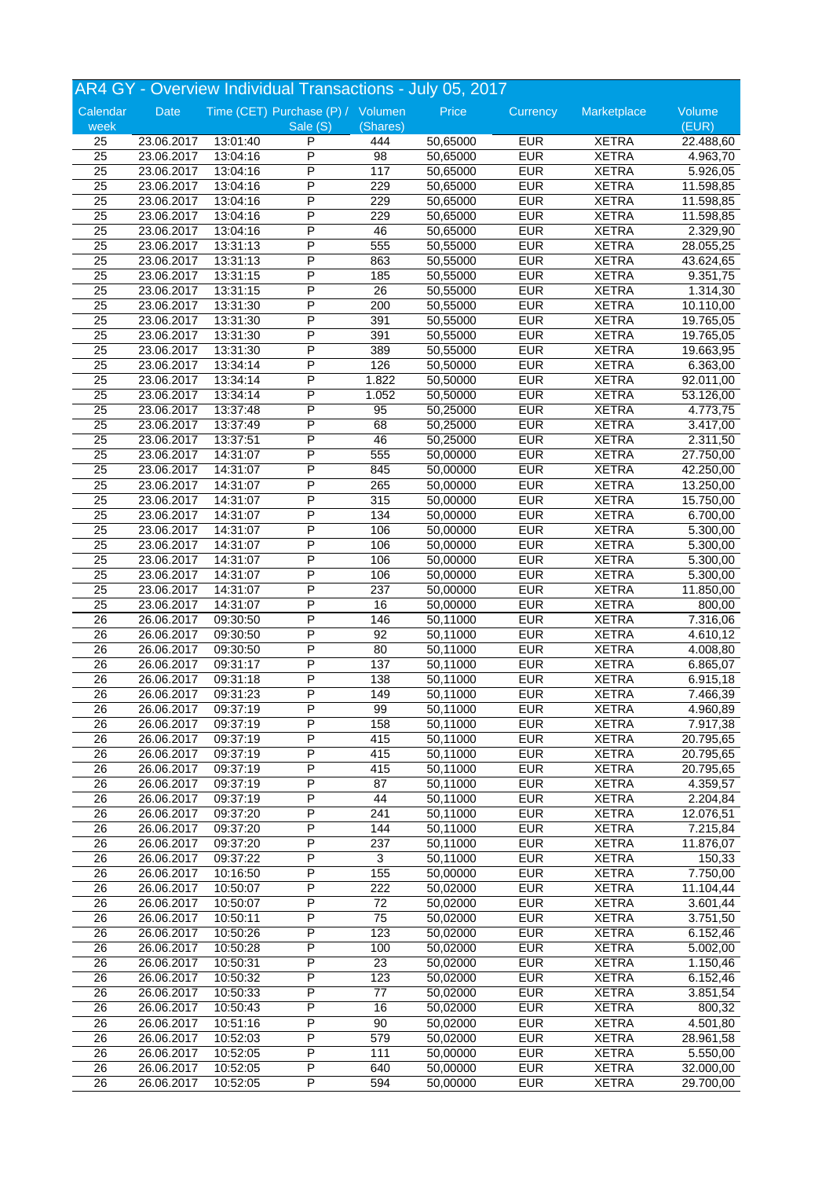|                 |             |          | AR4 GY - Overview Individual Transactions - July 05, 2017 |          |          |            |              |           |
|-----------------|-------------|----------|-----------------------------------------------------------|----------|----------|------------|--------------|-----------|
| Calendar        | <b>Date</b> |          | Time (CET) Purchase (P) / Volumen                         |          | Price    | Currency   | Marketplace  | Volume    |
| week            |             |          | Sale (S)                                                  | (Shares) |          |            |              | (EUR)     |
| 25              | 23.06.2017  | 13:01:40 | P                                                         | 444      | 50,65000 | <b>EUR</b> | <b>XETRA</b> | 22.488,60 |
| $\overline{25}$ | 23.06.2017  | 13:04:16 | P                                                         | 98       | 50,65000 | EUR        | <b>XETRA</b> | 4.963,70  |
| 25              | 23.06.2017  | 13:04:16 | P                                                         | 117      | 50,65000 | <b>EUR</b> | <b>XETRA</b> | 5.926,05  |
| 25              | 23.06.2017  | 13:04:16 | P                                                         | 229      | 50,65000 | <b>EUR</b> | <b>XETRA</b> | 11.598,85 |
| 25              | 23.06.2017  | 13:04:16 | P                                                         | 229      | 50,65000 | <b>EUR</b> | <b>XETRA</b> | 11.598,85 |
| 25              | 23.06.2017  | 13:04:16 | P                                                         | 229      | 50,65000 | <b>EUR</b> | <b>XETRA</b> | 11.598,85 |
| 25              | 23.06.2017  | 13:04:16 | P                                                         | 46       | 50,65000 | EUR        | <b>XETRA</b> | 2.329,90  |
| 25              | 23.06.2017  | 13:31:13 | P                                                         | 555      | 50,55000 | <b>EUR</b> | <b>XETRA</b> | 28.055,25 |
| $\overline{25}$ | 23.06.2017  | 13:31:13 | P                                                         | 863      | 50,55000 | <b>EUR</b> | <b>XETRA</b> | 43.624,65 |
| 25              | 23.06.2017  | 13:31:15 | Ρ                                                         | 185      | 50,55000 | <b>EUR</b> | <b>XETRA</b> | 9.351,75  |
| 25              | 23.06.2017  | 13:31:15 | P                                                         | 26       | 50,55000 | <b>EUR</b> | <b>XETRA</b> | 1.314,30  |
| 25              | 23.06.2017  | 13:31:30 | P                                                         | 200      | 50,55000 | <b>EUR</b> | <b>XETRA</b> | 10.110,00 |
| $\overline{25}$ | 23.06.2017  | 13:31:30 | P                                                         | 391      | 50,55000 | <b>EUR</b> | <b>XETRA</b> | 19.765,05 |
| 25              | 23.06.2017  | 13:31:30 | P                                                         | 391      | 50,55000 | <b>EUR</b> | <b>XETRA</b> | 19.765,05 |
| 25              | 23.06.2017  | 13:31:30 | P                                                         | 389      | 50,55000 | <b>EUR</b> | <b>XETRA</b> | 19.663,95 |
| 25              | 23.06.2017  | 13:34:14 | P                                                         | 126      | 50,50000 | <b>EUR</b> | <b>XETRA</b> | 6.363,00  |
| $\overline{25}$ | 23.06.2017  | 13:34:14 | P                                                         | 1.822    | 50,50000 | <b>EUR</b> | <b>XETRA</b> | 92.011,00 |
| 25              | 23.06.2017  | 13:34:14 | P                                                         | 1.052    | 50,50000 | <b>EUR</b> | <b>XETRA</b> | 53.126,00 |
| 25              | 23.06.2017  | 13:37:48 | P                                                         | 95       | 50,25000 | <b>EUR</b> | <b>XETRA</b> | 4.773,75  |
| 25              | 23.06.2017  | 13:37:49 | P                                                         | 68       | 50,25000 | EUR        | <b>XETRA</b> |           |
| $\overline{25}$ | 23.06.2017  | 13:37:51 | P                                                         | 46       | 50,25000 | <b>EUR</b> | <b>XETRA</b> | 3.417,00  |
|                 |             |          |                                                           |          |          |            |              | 2.311,50  |
| 25              | 23.06.2017  | 14:31:07 | P                                                         | 555      | 50,00000 | <b>EUR</b> | <b>XETRA</b> | 27.750,00 |
| $\overline{25}$ | 23.06.2017  | 14:31:07 | P                                                         | 845      | 50,00000 | <b>EUR</b> | <b>XETRA</b> | 42.250,00 |
| 25              | 23.06.2017  | 14:31:07 | P                                                         | 265      | 50,00000 | EUR        | <b>XETRA</b> | 13.250,00 |
| 25              | 23.06.2017  | 14:31:07 | P                                                         | 315      | 50,00000 | <b>EUR</b> | <b>XETRA</b> | 15.750,00 |
| 25              | 23.06.2017  | 14:31:07 | P                                                         | 134      | 50,00000 | <b>EUR</b> | <b>XETRA</b> | 6.700,00  |
| $\overline{25}$ | 23.06.2017  | 14:31:07 | P                                                         | 106      | 50,00000 | <b>EUR</b> | <b>XETRA</b> | 5.300,00  |
| 25              | 23.06.2017  | 14:31:07 | P                                                         | 106      | 50,00000 | <b>EUR</b> | <b>XETRA</b> | 5.300,00  |
| $\overline{25}$ | 23.06.2017  | 14:31:07 | P                                                         | 106      | 50,00000 | <b>EUR</b> | <b>XETRA</b> | 5.300,00  |
| 25              | 23.06.2017  | 14:31:07 | P                                                         | 106      | 50,00000 | EUR        | <b>XETRA</b> | 5.300,00  |
| 25              | 23.06.2017  | 14:31:07 | P                                                         | 237      | 50,00000 | EUR        | <b>XETRA</b> | 11.850,00 |
| 25              | 23.06.2017  | 14:31:07 | P                                                         | 16       | 50,00000 | <b>EUR</b> | <b>XETRA</b> | 800,00    |
| $\overline{26}$ | 26.06.2017  | 09:30:50 | P                                                         | 146      | 50,11000 | <b>EUR</b> | <b>XETRA</b> | 7.316,06  |
| 26              | 26.06.2017  | 09:30:50 | P                                                         | 92       | 50,11000 | EUR        | <b>XETRA</b> | 4.610,12  |
| 26              | 26.06.2017  | 09:30:50 | P                                                         | 80       | 50,11000 | <b>EUR</b> | <b>XETRA</b> | 4.008,80  |
| 26              | 26.06.2017  | 09:31:17 | P                                                         | 137      | 50,11000 | <b>EUR</b> | <b>XETRA</b> | 6.865,07  |
| 26              | 26.06.2017  | 09:31:18 | P                                                         | 138      | 50,11000 | <b>EUR</b> | <b>XETRA</b> | 6.915,18  |
| 26              | 26.06.2017  | 09:31:23 | P                                                         | 149      | 50,11000 | EUR        | <b>XETRA</b> | 7.466,39  |
| $\overline{26}$ | 26.06.2017  | 09:37:19 | $\overline{P}$                                            | 99       | 50,11000 | <b>EUR</b> | <b>XETRA</b> | 4.960,89  |
| 26              | 26.06.2017  | 09:37:19 | P                                                         | 158      | 50,11000 | <b>EUR</b> | <b>XETRA</b> | 7.917,38  |
| 26              | 26.06.2017  | 09:37:19 | P                                                         | 415      | 50,11000 | <b>EUR</b> | <b>XETRA</b> | 20.795,65 |
| 26              | 26.06.2017  | 09:37:19 | Ρ                                                         | 415      | 50,11000 | <b>EUR</b> | <b>XETRA</b> | 20.795,65 |
| 26              | 26.06.2017  | 09:37:19 | P                                                         | 415      | 50,11000 | <b>EUR</b> | <b>XETRA</b> | 20.795,65 |
| 26              | 26.06.2017  | 09:37:19 | Ρ                                                         | 87       | 50,11000 | <b>EUR</b> | <b>XETRA</b> | 4.359,57  |
| 26              | 26.06.2017  | 09:37:19 | P                                                         | 44       | 50,11000 | <b>EUR</b> | <b>XETRA</b> | 2.204,84  |
| 26              | 26.06.2017  | 09:37:20 | Ρ                                                         | 241      | 50,11000 | <b>EUR</b> | <b>XETRA</b> | 12.076,51 |
| 26              | 26.06.2017  | 09:37:20 | P                                                         | 144      | 50,11000 | <b>EUR</b> | <b>XETRA</b> | 7.215,84  |
| 26              | 26.06.2017  | 09:37:20 | P                                                         | 237      | 50,11000 | <b>EUR</b> | <b>XETRA</b> | 11.876,07 |
| 26              | 26.06.2017  | 09:37:22 | P                                                         | 3        | 50,11000 | <b>EUR</b> | <b>XETRA</b> | 150,33    |
| 26              | 26.06.2017  | 10:16:50 | Ρ                                                         | 155      | 50,00000 | <b>EUR</b> | <b>XETRA</b> | 7.750,00  |
| 26              | 26.06.2017  | 10:50:07 | Ρ                                                         | 222      | 50,02000 | <b>EUR</b> | <b>XETRA</b> | 11.104,44 |
| 26              | 26.06.2017  | 10:50:07 | P                                                         | 72       | 50,02000 | EUR        | <b>XETRA</b> | 3.601,44  |
| 26              | 26.06.2017  | 10:50:11 | Ρ                                                         | 75       | 50,02000 | <b>EUR</b> | <b>XETRA</b> | 3.751,50  |
| 26              | 26.06.2017  | 10:50:26 | P                                                         | 123      | 50,02000 | <b>EUR</b> | <b>XETRA</b> | 6.152,46  |
| 26              | 26.06.2017  | 10:50:28 | Ρ                                                         | 100      | 50,02000 | <b>EUR</b> | <b>XETRA</b> | 5.002,00  |
| 26              | 26.06.2017  | 10:50:31 | P                                                         | 23       | 50,02000 | <b>EUR</b> | <b>XETRA</b> | 1.150,46  |
| 26              | 26.06.2017  | 10:50:32 | Ρ                                                         | 123      | 50,02000 | <b>EUR</b> | <b>XETRA</b> | 6.152,46  |
|                 |             |          | P                                                         |          | 50,02000 | <b>EUR</b> |              | 3.851,54  |
| 26              | 26.06.2017  | 10:50:33 | Ρ                                                         | 77       |          |            | <b>XETRA</b> |           |
| 26              | 26.06.2017  | 10:50:43 |                                                           | 16       | 50,02000 | <b>EUR</b> | <b>XETRA</b> | 800,32    |
| 26              | 26.06.2017  | 10:51:16 | Ρ                                                         | 90       | 50,02000 | <b>EUR</b> | <b>XETRA</b> | 4.501,80  |
| 26              | 26.06.2017  | 10:52:03 | P                                                         | 579      | 50,02000 | <b>EUR</b> | <b>XETRA</b> | 28.961,58 |
| 26              | 26.06.2017  | 10:52:05 | P                                                         | 111      | 50,00000 | EUR        | <b>XETRA</b> | 5.550,00  |
| 26              | 26.06.2017  | 10:52:05 | P                                                         | 640      | 50,00000 | <b>EUR</b> | <b>XETRA</b> | 32.000,00 |
| 26              | 26.06.2017  | 10:52:05 | P                                                         | 594      | 50,00000 | <b>EUR</b> | <b>XETRA</b> | 29.700,00 |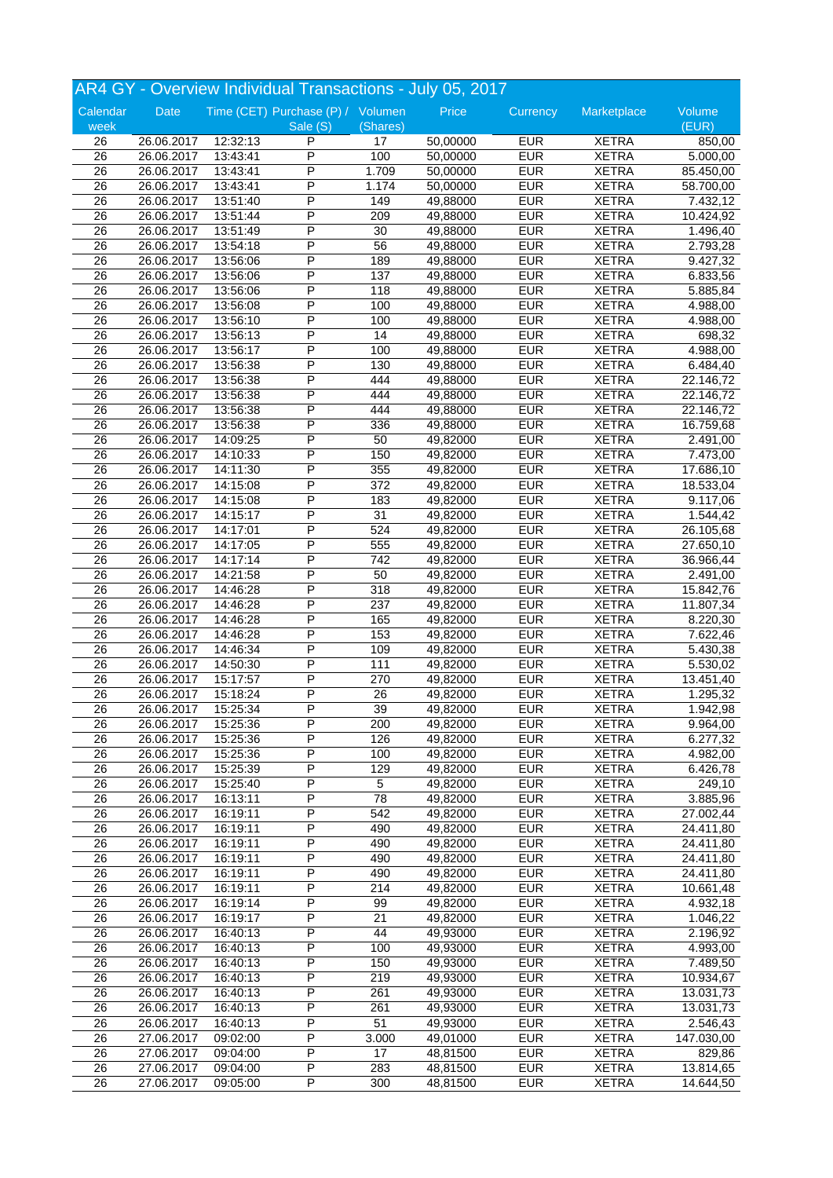|                 |            |          | AR4 GY - Overview Individual Transactions - July 05, 2017 |                  |          |            |              |            |
|-----------------|------------|----------|-----------------------------------------------------------|------------------|----------|------------|--------------|------------|
| Calendar        | Date       |          | Time (CET) Purchase (P) / Volumen                         |                  | Price    | Currency   | Marketplace  | Volume     |
| week            |            |          | Sale (S)                                                  | (Shares)         |          |            |              | (EUR)      |
| 26              | 26.06.2017 | 12:32:13 | P                                                         | 17               | 50,00000 | <b>EUR</b> | <b>XETRA</b> | 850,00     |
| $\overline{26}$ | 26.06.2017 | 13:43:41 | P                                                         | 100              | 50,00000 | <b>EUR</b> | <b>XETRA</b> | 5.000,00   |
| 26              | 26.06.2017 | 13:43:41 | P                                                         | 1.709            | 50,00000 | <b>EUR</b> | <b>XETRA</b> | 85.450,00  |
| 26              | 26.06.2017 | 13:43:41 | P                                                         | 1.174            | 50,00000 | <b>EUR</b> | <b>XETRA</b> | 58.700,00  |
| 26              | 26.06.2017 | 13:51:40 | P                                                         | 149              | 49,88000 | <b>EUR</b> | <b>XETRA</b> | 7.432,12   |
| 26              | 26.06.2017 | 13:51:44 | P                                                         | 209              | 49,88000 | <b>EUR</b> | <b>XETRA</b> | 10.424,92  |
| 26              | 26.06.2017 | 13:51:49 | P                                                         | 30               | 49,88000 | <b>EUR</b> | <b>XETRA</b> | 1.496,40   |
| 26              | 26.06.2017 | 13:54:18 | P                                                         | 56               | 49,88000 | <b>EUR</b> | <b>XETRA</b> | 2.793,28   |
| 26              | 26.06.2017 | 13:56:06 | P                                                         | 189              | 49,88000 | <b>EUR</b> | <b>XETRA</b> | 9.427,32   |
| 26              | 26.06.2017 | 13:56:06 | Ρ                                                         | 137              | 49,88000 | <b>EUR</b> | <b>XETRA</b> | 6.833,56   |
| $\overline{26}$ | 26.06.2017 | 13:56:06 | P                                                         | 118              | 49,88000 | <b>EUR</b> | <b>XETRA</b> | 5.885,84   |
| 26              | 26.06.2017 | 13:56:08 | P                                                         | 100              | 49,88000 | <b>EUR</b> | <b>XETRA</b> | 4.988,00   |
| $\overline{26}$ | 26.06.2017 | 13:56:10 | P                                                         | 100              | 49,88000 | <b>EUR</b> | <b>XETRA</b> | 4.988,00   |
| 26              | 26.06.2017 | 13:56:13 | P                                                         | 14               | 49,88000 | <b>EUR</b> | <b>XETRA</b> | 698,32     |
| $\overline{26}$ | 26.06.2017 | 13:56:17 | P                                                         | 100              | 49,88000 | <b>EUR</b> | <b>XETRA</b> | 4.988,00   |
| 26              | 26.06.2017 | 13:56:38 | P                                                         | 130              | 49,88000 | <b>EUR</b> | <b>XETRA</b> | 6.484,40   |
| $\overline{26}$ | 26.06.2017 | 13:56:38 | P                                                         | 444              | 49,88000 | <b>EUR</b> | <b>XETRA</b> | 22.146,72  |
| 26              | 26.06.2017 | 13:56:38 | P                                                         | 444              | 49,88000 | <b>EUR</b> | <b>XETRA</b> | 22.146,72  |
| $\overline{26}$ | 26.06.2017 | 13:56:38 | P                                                         | 444              | 49,88000 | <b>EUR</b> | <b>XETRA</b> | 22.146,72  |
| 26              | 26.06.2017 | 13:56:38 | P                                                         | 336              | 49,88000 | <b>EUR</b> | <b>XETRA</b> | 16.759,68  |
| $\overline{26}$ | 26.06.2017 | 14:09:25 | P                                                         | 50               | 49,82000 | <b>EUR</b> | <b>XETRA</b> | 2.491,00   |
| 26              | 26.06.2017 | 14:10:33 | P                                                         | 150              | 49,82000 | <b>EUR</b> | <b>XETRA</b> | 7.473,00   |
| 26              | 26.06.2017 | 14:11:30 | P                                                         | 355              | 49,82000 | <b>EUR</b> | <b>XETRA</b> | 17.686,10  |
| 26              | 26.06.2017 | 14:15:08 | Ρ                                                         | 372              | 49,82000 | <b>EUR</b> | <b>XETRA</b> | 18.533,04  |
| 26              | 26.06.2017 | 14:15:08 | P                                                         | 183              | 49,82000 | <b>EUR</b> | <b>XETRA</b> | 9.117,06   |
| 26              | 26.06.2017 | 14:15:17 | P                                                         | 31               | 49,82000 | <b>EUR</b> | <b>XETRA</b> | 1.544,42   |
| 26              | 26.06.2017 | 14:17:01 | P                                                         | 524              | 49,82000 | <b>EUR</b> | <b>XETRA</b> | 26.105,68  |
| 26              | 26.06.2017 | 14:17:05 | P                                                         | 555              | 49,82000 | <b>EUR</b> | <b>XETRA</b> | 27.650,10  |
| $\overline{26}$ | 26.06.2017 | 14:17:14 | P                                                         | 742              | 49,82000 | <b>EUR</b> | <b>XETRA</b> | 36.966,44  |
| 26              | 26.06.2017 | 14:21:58 | P                                                         | 50               | 49,82000 | <b>EUR</b> | <b>XETRA</b> | 2.491,00   |
| 26              | 26.06.2017 | 14:46:28 | P                                                         | 318              | 49,82000 | <b>EUR</b> | <b>XETRA</b> | 15.842,76  |
| 26              | 26.06.2017 | 14:46:28 | P                                                         | 237              | 49,82000 | <b>EUR</b> | <b>XETRA</b> | 11.807,34  |
| 26              | 26.06.2017 | 14:46:28 | Ρ                                                         | 165              | 49,82000 | <b>EUR</b> | <b>XETRA</b> | 8.220,30   |
| 26              | 26.06.2017 | 14:46:28 | P                                                         | 153              | 49,82000 | <b>EUR</b> | <b>XETRA</b> | 7.622,46   |
| 26              | 26.06.2017 | 14:46:34 | P                                                         | 109              | 49,82000 | <b>EUR</b> | <b>XETRA</b> | 5.430,38   |
| 26              | 26.06.2017 | 14:50:30 | P                                                         | 111              | 49,82000 | <b>EUR</b> | <b>XETRA</b> | 5.530,02   |
| 26              | 26.06.2017 | 15:17:57 | P                                                         | 270              | 49,82000 | <b>EUR</b> | <b>XETRA</b> | 13.451,40  |
| 26              | 26.06.2017 | 15:18:24 | P                                                         | 26               | 49,82000 | <b>EUR</b> | <b>XETRA</b> | 1.295,32   |
| $\overline{26}$ | 26.06.2017 | 15:25:34 | $\overline{P}$                                            | 39               | 49,82000 | <b>EUR</b> | <b>XETRA</b> | 1.942,98   |
| 26              | 26.06.2017 | 15:25:36 | P                                                         | 200              | 49,82000 | <b>EUR</b> | <b>XETRA</b> | 9.964,00   |
| 26              | 26.06.2017 | 15:25:36 | Ρ                                                         | 126              | 49,82000 | <b>EUR</b> | <b>XETRA</b> | 6.277,32   |
| 26              | 26.06.2017 | 15:25:36 | Ρ                                                         | 100              | 49,82000 | <b>EUR</b> | <b>XETRA</b> | 4.982,00   |
| 26              | 26.06.2017 | 15:25:39 | P                                                         | 129              | 49,82000 | <b>EUR</b> | <b>XETRA</b> | 6.426,78   |
| 26              | 26.06.2017 | 15:25:40 | P                                                         | 5                | 49,82000 | <b>EUR</b> | <b>XETRA</b> | 249,10     |
| 26              | 26.06.2017 | 16:13:11 | P                                                         | 78               | 49,82000 | <b>EUR</b> | <b>XETRA</b> | 3.885,96   |
| 26              | 26.06.2017 | 16:19:11 | Ρ                                                         | 542              | 49,82000 | <b>EUR</b> | <b>XETRA</b> | 27.002,44  |
| 26              | 26.06.2017 | 16:19:11 | Ρ                                                         | 490              | 49,82000 | <b>EUR</b> | <b>XETRA</b> | 24.411,80  |
| 26              | 26.06.2017 | 16:19:11 | P                                                         | 490              | 49,82000 | <b>EUR</b> | <b>XETRA</b> | 24.411,80  |
| 26              | 26.06.2017 | 16:19:11 | Ρ                                                         | 490              | 49,82000 | <b>EUR</b> | <b>XETRA</b> | 24.411,80  |
| 26              | 26.06.2017 | 16:19:11 | Ρ                                                         | 490              | 49,82000 | <b>EUR</b> | <b>XETRA</b> | 24.411,80  |
| 26              | 26.06.2017 | 16:19:11 | Ρ                                                         | 214              | 49,82000 | <b>EUR</b> | <b>XETRA</b> | 10.661,48  |
| 26              | 26.06.2017 | 16:19:14 | P                                                         | 99               | 49,82000 | <b>EUR</b> | <b>XETRA</b> | 4.932,18   |
| 26              | 26.06.2017 | 16:19:17 | P                                                         | 21               | 49,82000 | <b>EUR</b> | <b>XETRA</b> | 1.046,22   |
| 26              | 26.06.2017 | 16:40:13 | P                                                         | 44               | 49,93000 | <b>EUR</b> | <b>XETRA</b> | 2.196,92   |
| 26              | 26.06.2017 | 16:40:13 | Ρ                                                         | 100              | 49,93000 | <b>EUR</b> | <b>XETRA</b> | 4.993,00   |
| 26              | 26.06.2017 | 16:40:13 | Ρ                                                         | $\overline{150}$ | 49,93000 | <b>EUR</b> | <b>XETRA</b> | 7.489,50   |
| 26              | 26.06.2017 | 16:40:13 | P                                                         | 219              | 49,93000 | <b>EUR</b> | <b>XETRA</b> | 10.934,67  |
| 26              | 26.06.2017 | 16:40:13 | P                                                         | 261              | 49,93000 | <b>EUR</b> | <b>XETRA</b> | 13.031,73  |
| 26              | 26.06.2017 | 16:40:13 | P                                                         | 261              | 49,93000 | <b>EUR</b> | <b>XETRA</b> | 13.031,73  |
| 26              | 26.06.2017 | 16:40:13 | Ρ                                                         | 51               | 49,93000 | <b>EUR</b> | <b>XETRA</b> | 2.546,43   |
| $\overline{26}$ | 27.06.2017 | 09:02:00 | P                                                         | 3.000            | 49,01000 | <b>EUR</b> | <b>XETRA</b> | 147.030,00 |
| 26              | 27.06.2017 | 09:04:00 | Ρ                                                         | 17               | 48,81500 | <b>EUR</b> | <b>XETRA</b> | 829,86     |
| 26              | 27.06.2017 | 09:04:00 | Ρ                                                         | 283              | 48,81500 | <b>EUR</b> | <b>XETRA</b> | 13.814,65  |
| 26              | 27.06.2017 | 09:05:00 | P                                                         | 300              | 48,81500 | <b>EUR</b> | <b>XETRA</b> | 14.644,50  |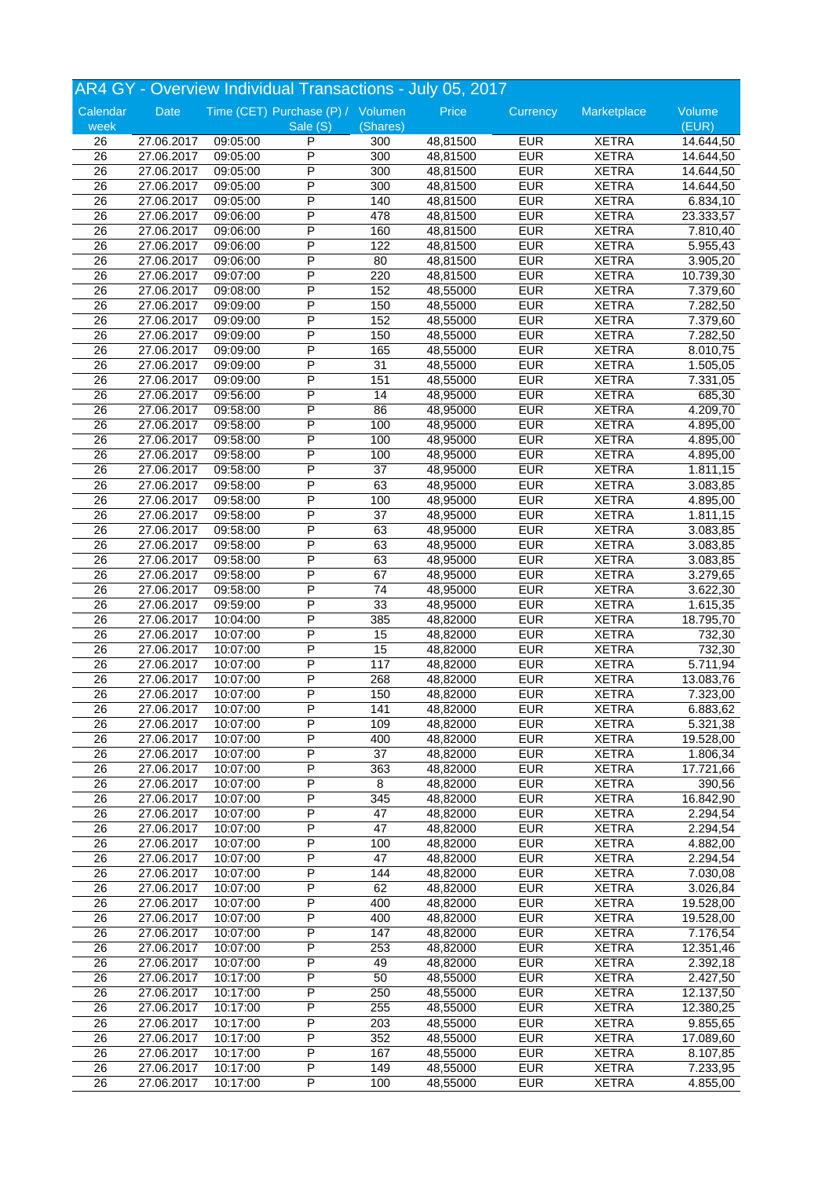|                  |            |          | AR4 GY - Overview Individual Transactions - July 05, 2017 |          |          |                          |              |                 |
|------------------|------------|----------|-----------------------------------------------------------|----------|----------|--------------------------|--------------|-----------------|
| Calendar<br>week | Date       |          | Time (CET) Purchase (P) / Volumen<br>Sale (S)             | (Shares) | Price    | Currency                 | Marketplace  | Volume<br>(EUR) |
| 26               | 27.06.2017 | 09:05:00 | P                                                         | 300      | 48,81500 | <b>EUR</b>               | <b>XETRA</b> | 14.644,50       |
| $\overline{26}$  | 27.06.2017 | 09:05:00 | P                                                         | 300      | 48,81500 | <b>EUR</b>               | <b>XETRA</b> | 14.644,50       |
| 26               | 27.06.2017 | 09:05:00 | P                                                         | 300      | 48,81500 | <b>EUR</b>               | <b>XETRA</b> | 14.644,50       |
| 26               | 27.06.2017 | 09:05:00 | P                                                         | 300      | 48,81500 | <b>EUR</b>               | <b>XETRA</b> | 14.644,50       |
| 26               | 27.06.2017 | 09:05:00 | P                                                         | 140      | 48,81500 | <b>EUR</b>               | <b>XETRA</b> | 6.834,10        |
| 26               | 27.06.2017 | 09:06:00 | P                                                         | 478      | 48,81500 | <b>EUR</b>               | <b>XETRA</b> | 23.333,57       |
|                  |            |          | P                                                         |          |          |                          |              |                 |
| 26               | 27.06.2017 | 09:06:00 | P                                                         | 160      | 48,81500 | <b>EUR</b><br><b>EUR</b> | <b>XETRA</b> | 7.810,40        |
| 26               | 27.06.2017 | 09:06:00 |                                                           | 122      | 48,81500 |                          | <b>XETRA</b> | 5.955,43        |
| 26               | 27.06.2017 | 09:06:00 | P                                                         | 80       | 48,81500 | <b>EUR</b>               | <b>XETRA</b> | 3.905,20        |
| 26               | 27.06.2017 | 09:07:00 | Ρ                                                         | 220      | 48,81500 | <b>EUR</b>               | <b>XETRA</b> | 10.739,30       |
| $\overline{26}$  | 27.06.2017 | 09:08:00 | $\overline{\mathsf{P}}$                                   | 152      | 48,55000 | <b>EUR</b>               | <b>XETRA</b> | 7.379,60        |
| 26               | 27.06.2017 | 09:09:00 | P                                                         | 150      | 48,55000 | <b>EUR</b>               | <b>XETRA</b> | 7.282,50        |
| $\overline{26}$  | 27.06.2017 | 09:09:00 | P                                                         | 152      | 48,55000 | <b>EUR</b>               | <b>XETRA</b> | 7.379,60        |
| 26               | 27.06.2017 | 09:09:00 | P                                                         | 150      | 48,55000 | <b>EUR</b>               | <b>XETRA</b> | 7.282,50        |
| $\overline{26}$  | 27.06.2017 | 09:09:00 | P                                                         | 165      | 48,55000 | <b>EUR</b>               | <b>XETRA</b> | 8.010,75        |
| 26               | 27.06.2017 | 09:09:00 | P                                                         | 31       | 48,55000 | <b>EUR</b>               | <b>XETRA</b> | 1.505,05        |
| $\overline{26}$  | 27.06.2017 | 09:09:00 | P                                                         | 151      | 48,55000 | <b>EUR</b>               | <b>XETRA</b> | 7.331,05        |
| 26               | 27.06.2017 | 09:56:00 | P                                                         | 14       | 48,95000 | <b>EUR</b>               | <b>XETRA</b> | 685,30          |
| $\overline{26}$  | 27.06.2017 | 09:58:00 | P                                                         | 86       | 48,95000 | <b>EUR</b>               | <b>XETRA</b> | 4.209,70        |
| 26               | 27.06.2017 | 09:58:00 | P                                                         | 100      | 48,95000 | <b>EUR</b>               | <b>XETRA</b> | 4.895,00        |
| $\overline{26}$  | 27.06.2017 | 09:58:00 | P                                                         | 100      | 48,95000 | <b>EUR</b>               | <b>XETRA</b> | 4.895,00        |
| 26               | 27.06.2017 | 09:58:00 | P                                                         | 100      | 48,95000 | <b>EUR</b>               | <b>XETRA</b> | 4.895,00        |
| 26               | 27.06.2017 | 09:58:00 | P                                                         | 37       | 48,95000 | <b>EUR</b>               | <b>XETRA</b> | 1.811,15        |
| 26               | 27.06.2017 | 09:58:00 | Ρ                                                         | 63       | 48,95000 | <b>EUR</b>               | <b>XETRA</b> | 3.083,85        |
| 26               | 27.06.2017 | 09:58:00 | $\overline{\mathsf{P}}$                                   | 100      | 48,95000 | <b>EUR</b>               | <b>XETRA</b> | 4.895,00        |
| 26               |            |          | P                                                         | 37       | 48,95000 | <b>EUR</b>               | <b>XETRA</b> |                 |
|                  | 27.06.2017 | 09:58:00 | P                                                         |          |          |                          |              | 1.811,15        |
| 26               | 27.06.2017 | 09:58:00 |                                                           | 63       | 48,95000 | <b>EUR</b>               | <b>XETRA</b> | 3.083,85        |
| 26               | 27.06.2017 | 09:58:00 | P                                                         | 63       | 48,95000 | <b>EUR</b>               | <b>XETRA</b> | 3.083,85        |
| $\overline{26}$  | 27.06.2017 | 09:58:00 | P                                                         | 63       | 48,95000 | <b>EUR</b>               | <b>XETRA</b> | 3.083,85        |
| 26               | 27.06.2017 | 09:58:00 | P                                                         | 67       | 48,95000 | <b>EUR</b>               | <b>XETRA</b> | 3.279,65        |
| 26               | 27.06.2017 | 09:58:00 | P                                                         | 74       | 48,95000 | <b>EUR</b>               | <b>XETRA</b> | 3.622,30        |
| 26               | 27.06.2017 | 09:59:00 | P                                                         | 33       | 48,95000 | <b>EUR</b>               | <b>XETRA</b> | 1.615,35        |
| 26               | 27.06.2017 | 10:04:00 | Ρ                                                         | 385      | 48,82000 | <b>EUR</b>               | <b>XETRA</b> | 18.795,70       |
| 26               | 27.06.2017 | 10:07:00 | $\overline{\mathsf{P}}$                                   | 15       | 48,82000 | <b>EUR</b>               | <b>XETRA</b> | 732,30          |
| 26               | 27.06.2017 | 10:07:00 | P                                                         | 15       | 48,82000 | <b>EUR</b>               | <b>XETRA</b> | 732,30          |
| 26               | 27.06.2017 | 10:07:00 | P                                                         | 117      | 48,82000 | <b>EUR</b>               | <b>XETRA</b> | 5.711,94        |
| 26               | 27.06.2017 | 10:07:00 | P                                                         | 268      | 48,82000 | <b>EUR</b>               | <b>XETRA</b> | 13.083,76       |
| 26               | 27.06.2017 | 10:07:00 | P                                                         | 150      | 48,82000 | <b>EUR</b>               | <b>XETRA</b> | 7.323,00        |
| $\overline{26}$  | 27.06.2017 | 10:07:00 | $\overline{P}$                                            | 141      | 48,82000 | <b>EUR</b>               | <b>XETRA</b> | 6.883,62        |
| 26               | 27.06.2017 | 10:07:00 | P                                                         | 109      | 48,82000 | <b>EUR</b>               | <b>XETRA</b> | 5.321,38        |
| 26               | 27.06.2017 | 10:07:00 | P                                                         | 400      | 48,82000 | <b>EUR</b>               | <b>XETRA</b> | 19.528,00       |
| 26               | 27.06.2017 | 10:07:00 | P                                                         | 37       | 48,82000 | <b>EUR</b>               | <b>XETRA</b> | 1.806,34        |
| 26               | 27.06.2017 | 10:07:00 | P                                                         | 363      | 48,82000 | <b>EUR</b>               | <b>XETRA</b> | 17.721,66       |
| 26               | 27.06.2017 | 10:07:00 | Ρ                                                         | 8        | 48,82000 | <b>EUR</b>               | <b>XETRA</b> | 390,56          |
| 26               | 27.06.2017 | 10:07:00 | P                                                         | 345      | 48,82000 | <b>EUR</b>               | <b>XETRA</b> | 16.842,90       |
|                  |            |          |                                                           |          |          |                          |              |                 |
| 26               | 27.06.2017 | 10:07:00 | Ρ                                                         | 47       | 48,82000 | <b>EUR</b>               | <b>XETRA</b> | 2.294,54        |
| 26               | 27.06.2017 | 10:07:00 | P                                                         | 47       | 48,82000 | <b>EUR</b>               | <b>XETRA</b> | 2.294,54        |
| 26               | 27.06.2017 | 10:07:00 | P                                                         | 100      | 48,82000 | <b>EUR</b>               | <b>XETRA</b> | 4.882,00        |
| 26               | 27.06.2017 | 10:07:00 | Ρ                                                         | 47       | 48,82000 | <b>EUR</b>               | <b>XETRA</b> | 2.294,54        |
| 26               | 27.06.2017 | 10:07:00 | Ρ                                                         | 144      | 48,82000 | <b>EUR</b>               | <b>XETRA</b> | 7.030,08        |
| 26               | 27.06.2017 | 10:07:00 | Ρ                                                         | 62       | 48,82000 | <b>EUR</b>               | <b>XETRA</b> | 3.026,84        |
| 26               | 27.06.2017 | 10:07:00 | P                                                         | 400      | 48,82000 | <b>EUR</b>               | <b>XETRA</b> | 19.528,00       |
| 26               | 27.06.2017 | 10:07:00 | P                                                         | 400      | 48,82000 | <b>EUR</b>               | <b>XETRA</b> | 19.528,00       |
| 26               | 27.06.2017 | 10:07:00 | P                                                         | 147      | 48,82000 | <b>EUR</b>               | <b>XETRA</b> | 7.176,54        |
| 26               | 27.06.2017 | 10:07:00 | Ρ                                                         | 253      | 48,82000 | <b>EUR</b>               | <b>XETRA</b> | 12.351,46       |
| 26               | 27.06.2017 | 10:07:00 | Ρ                                                         | 49       | 48,82000 | <b>EUR</b>               | <b>XETRA</b> | 2.392,18        |
| 26               | 27.06.2017 | 10:17:00 | P                                                         | 50       | 48,55000 | <b>EUR</b>               | <b>XETRA</b> | 2.427,50        |
| 26               | 27.06.2017 | 10:17:00 | Ρ                                                         | 250      | 48,55000 | <b>EUR</b>               | <b>XETRA</b> | 12.137,50       |
| 26               | 27.06.2017 | 10:17:00 | P                                                         | 255      | 48,55000 | <b>EUR</b>               | <b>XETRA</b> | 12.380,25       |
| 26               | 27.06.2017 | 10:17:00 | Ρ                                                         | 203      | 48,55000 | <b>EUR</b>               | <b>XETRA</b> | 9.855,65        |
| 26               |            |          | P                                                         | 352      | 48,55000 | <b>EUR</b>               | <b>XETRA</b> |                 |
|                  | 27.06.2017 | 10:17:00 |                                                           |          |          |                          |              | 17.089,60       |
| 26               | 27.06.2017 | 10:17:00 | P                                                         | 167      | 48,55000 | <b>EUR</b>               | <b>XETRA</b> | 8.107,85        |
| 26               | 27.06.2017 | 10:17:00 | P                                                         | 149      | 48,55000 | <b>EUR</b>               | <b>XETRA</b> | 7.233,95        |
| 26               | 27.06.2017 | 10:17:00 | P                                                         | 100      | 48,55000 | <b>EUR</b>               | <b>XETRA</b> | 4.855,00        |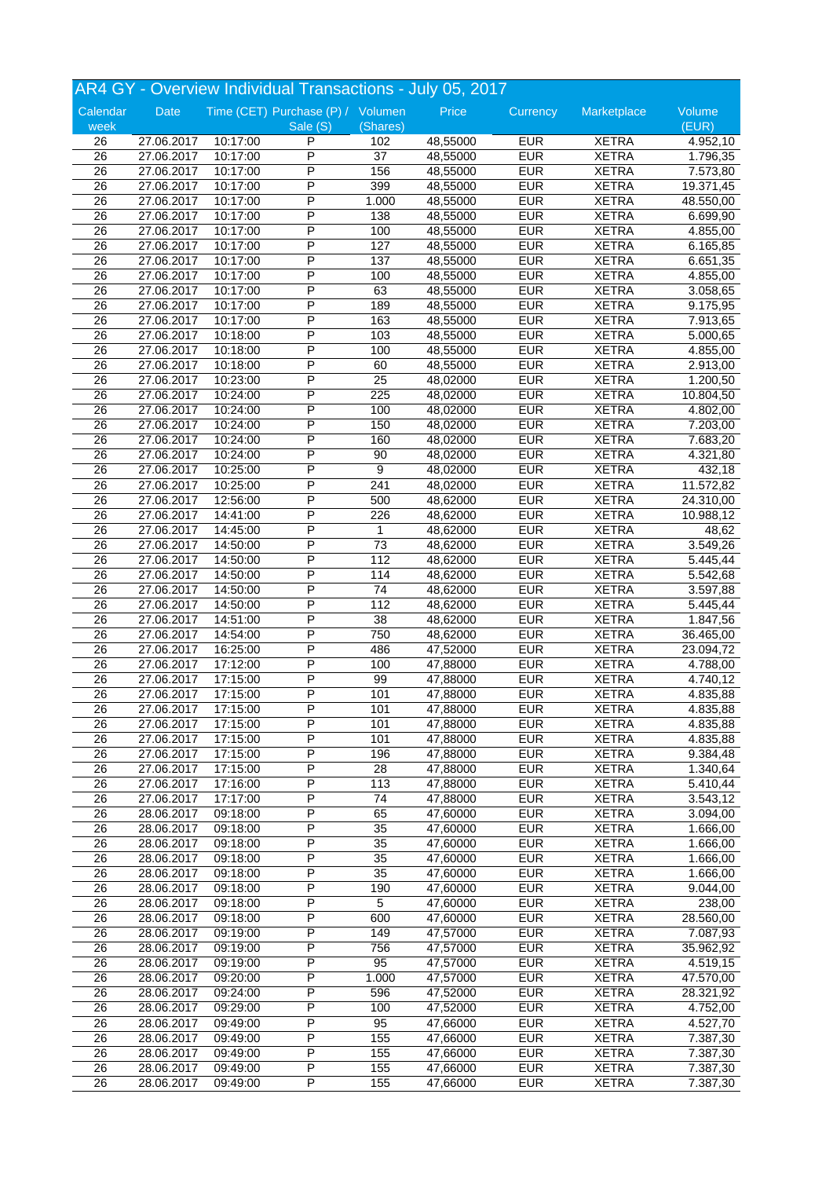|                 |            |          | AR4 GY - Overview Individual Transactions - July 05, 2017 |                 |                      |            |              |                        |
|-----------------|------------|----------|-----------------------------------------------------------|-----------------|----------------------|------------|--------------|------------------------|
| Calendar        | Date       |          | Time (CET) Purchase (P) / Volumen                         |                 | Price                | Currency   | Marketplace  | Volume                 |
| week            |            |          | Sale (S)                                                  | (Shares)        |                      |            |              | (EUR)                  |
| 26              | 27.06.2017 | 10:17:00 | P                                                         | 102             | 48,55000             | <b>EUR</b> | <b>XETRA</b> | 4.952,10               |
| $\overline{26}$ | 27.06.2017 | 10:17:00 | P                                                         | $\overline{37}$ | 48,55000             | <b>EUR</b> | <b>XETRA</b> | 1.796,35               |
| 26              | 27.06.2017 | 10:17:00 | P                                                         | 156             | 48,55000             | <b>EUR</b> | <b>XETRA</b> | 7.573,80               |
| 26              | 27.06.2017 | 10:17:00 | P                                                         | 399             | 48,55000             | <b>EUR</b> | <b>XETRA</b> | 19.371,45              |
| 26              | 27.06.2017 | 10:17:00 | P                                                         | 1.000           | 48,55000             | <b>EUR</b> | <b>XETRA</b> | 48.550,00              |
| 26              | 27.06.2017 | 10:17:00 | P                                                         | 138             | 48,55000             | <b>EUR</b> | <b>XETRA</b> | 6.699,90               |
| 26              | 27.06.2017 | 10:17:00 | P                                                         | 100             | 48,55000             | <b>EUR</b> | <b>XETRA</b> | 4.855,00               |
| 26              | 27.06.2017 | 10:17:00 | P                                                         | 127             | 48,55000             | <b>EUR</b> | <b>XETRA</b> | 6.165,85               |
| 26              | 27.06.2017 | 10:17:00 | P                                                         | 137             | 48,55000             | <b>EUR</b> | <b>XETRA</b> | 6.651,35               |
| 26              | 27.06.2017 | 10:17:00 | Ρ                                                         | 100             | 48,55000             | <b>EUR</b> | <b>XETRA</b> | 4.855,00               |
| $\overline{26}$ | 27.06.2017 | 10:17:00 | $\overline{\mathsf{P}}$                                   | 63              | 48,55000             | <b>EUR</b> | <b>XETRA</b> | 3.058,65               |
| 26              | 27.06.2017 | 10:17:00 | P                                                         | 189             | 48,55000             | <b>EUR</b> | <b>XETRA</b> | 9.175,95               |
| $\overline{26}$ | 27.06.2017 | 10:17:00 | P                                                         | 163             | 48,55000             | <b>EUR</b> | <b>XETRA</b> | 7.913,65               |
| 26              | 27.06.2017 | 10:18:00 | P                                                         | 103             | 48,55000             | <b>EUR</b> | <b>XETRA</b> | 5.000,65               |
| $\overline{26}$ | 27.06.2017 | 10:18:00 | P                                                         | 100             | 48,55000             | <b>EUR</b> | <b>XETRA</b> | 4.855,00               |
| 26              | 27.06.2017 | 10:18:00 | P                                                         | 60              | 48,55000             | <b>EUR</b> | <b>XETRA</b> | 2.913,00               |
| $\overline{26}$ | 27.06.2017 | 10:23:00 | P                                                         | 25              | 48,02000             | <b>EUR</b> | <b>XETRA</b> | 1.200,50               |
| 26              | 27.06.2017 | 10:24:00 | P                                                         | 225             | 48,02000             | <b>EUR</b> | <b>XETRA</b> | 10.804,50              |
| $\overline{26}$ | 27.06.2017 | 10:24:00 | Ρ                                                         | 100             | 48,02000             | <b>EUR</b> | <b>XETRA</b> | 4.802,00               |
| 26              | 27.06.2017 | 10:24:00 | P                                                         | 150             | 48,02000             | <b>EUR</b> | <b>XETRA</b> | 7.203,00               |
| 26              | 27.06.2017 | 10:24:00 | P                                                         | 160             | 48,02000             | <b>EUR</b> | <b>XETRA</b> | 7.683,20               |
| 26              | 27.06.2017 | 10:24:00 | P                                                         | 90              | 48,02000             | <b>EUR</b> | <b>XETRA</b> | 4.321,80               |
| 26              | 27.06.2017 | 10:25:00 | P                                                         | 9               | 48,02000             | <b>EUR</b> | <b>XETRA</b> | 432,18                 |
| 26              | 27.06.2017 | 10:25:00 | P                                                         | 241             | 48,02000             | <b>EUR</b> | <b>XETRA</b> | 11.572,82              |
| 26              | 27.06.2017 | 12:56:00 | P                                                         | 500             | 48,62000             | <b>EUR</b> | <b>XETRA</b> | 24.310,00              |
| 26              | 27.06.2017 | 14:41:00 | P                                                         | 226             | 48,62000             | <b>EUR</b> | <b>XETRA</b> | 10.988,12              |
| 26              | 27.06.2017 | 14:45:00 | P                                                         | $\mathbf 1$     | 48,62000             | <b>EUR</b> | <b>XETRA</b> | 48,62                  |
| 26              | 27.06.2017 | 14:50:00 | P                                                         | 73              | 48,62000             | <b>EUR</b> | <b>XETRA</b> | 3.549,26               |
| $\overline{26}$ | 27.06.2017 | 14:50:00 | P                                                         | 112             | 48,62000             | <b>EUR</b> | <b>XETRA</b> | 5.445,44               |
| 26              | 27.06.2017 | 14:50:00 | P                                                         | 114             | 48,62000             | <b>EUR</b> | <b>XETRA</b> | 5.542,68               |
| 26              | 27.06.2017 | 14:50:00 | P                                                         | 74              | 48,62000             | <b>EUR</b> | <b>XETRA</b> | 3.597,88               |
|                 |            |          | P                                                         | 112             |                      | <b>EUR</b> | <b>XETRA</b> |                        |
| 26<br>26        | 27.06.2017 | 14:50:00 | Ρ                                                         | 38              | 48,62000<br>48,62000 | <b>EUR</b> | <b>XETRA</b> | 5.445,44               |
|                 | 27.06.2017 | 14:51:00 | $\overline{\mathsf{P}}$                                   |                 |                      |            |              | 1.847,56               |
| 26              | 27.06.2017 | 14:54:00 |                                                           | 750             | 48,62000             | <b>EUR</b> | <b>XETRA</b> | 36.465,00              |
| 26              | 27.06.2017 | 16:25:00 | P                                                         | 486             | 47,52000             | <b>EUR</b> | <b>XETRA</b> | 23.094,72              |
| 26              | 27.06.2017 | 17:12:00 | P                                                         | 100             | 47,88000             | <b>EUR</b> | <b>XETRA</b> | 4.788,00               |
| 26              | 27.06.2017 | 17:15:00 | P                                                         | 99              | 47,88000             | <b>EUR</b> | <b>XETRA</b> | $\overline{4.740, 12}$ |
| 26              | 27.06.2017 | 17:15:00 | P                                                         | 101             | 47,88000             | <b>EUR</b> | <b>XETRA</b> | 4.835,88               |
| $\overline{26}$ | 27.06.2017 | 17:15:00 | $\overline{P}$                                            | 101             | 47,88000             | <b>EUR</b> | <b>XETRA</b> | 4.835,88               |
| 26              | 27.06.2017 | 17:15:00 | P                                                         | 101             | 47,88000             | <b>EUR</b> | <b>XETRA</b> | 4.835,88               |
| 26              | 27.06.2017 | 17:15:00 | Ρ                                                         | 101             | 47,88000             | <b>EUR</b> | <b>XETRA</b> | 4.835,88               |
| 26              | 27.06.2017 | 17:15:00 | P                                                         | 196             | 47,88000             | <b>EUR</b> | <b>XETRA</b> | 9.384,48               |
| 26              | 27.06.2017 | 17:15:00 | P                                                         | 28              | 47,88000             | <b>EUR</b> | <b>XETRA</b> | 1.340,64               |
| 26              | 27.06.2017 | 17:16:00 | Ρ                                                         | 113             | 47,88000             | <b>EUR</b> | <b>XETRA</b> | 5.410,44               |
| 26              | 27.06.2017 | 17:17:00 | P                                                         | 74              | 47,88000             | <b>EUR</b> | <b>XETRA</b> | 3.543,12               |
| 26              | 28.06.2017 | 09:18:00 | Ρ                                                         | 65              | 47,60000             | <b>EUR</b> | <b>XETRA</b> | 3.094,00               |
| 26              | 28.06.2017 | 09:18:00 | P                                                         | 35              | 47,60000             | <b>EUR</b> | <b>XETRA</b> | 1.666,00               |
| 26              | 28.06.2017 | 09:18:00 | P                                                         | 35              | 47,60000             | <b>EUR</b> | <b>XETRA</b> | 1.666,00               |
| 26              | 28.06.2017 | 09:18:00 | Ρ                                                         | 35              | 47,60000             | <b>EUR</b> | <b>XETRA</b> | 1.666,00               |
| 26              | 28.06.2017 | 09:18:00 | Ρ                                                         | 35              | 47,60000             | <b>EUR</b> | <b>XETRA</b> | 1.666,00               |
| 26              | 28.06.2017 | 09:18:00 | Ρ                                                         | 190             | 47,60000             | <b>EUR</b> | <b>XETRA</b> | 9.044,00               |
| 26              | 28.06.2017 | 09:18:00 | P                                                         | 5               | 47,60000             | <b>EUR</b> | <b>XETRA</b> | 238,00                 |
| 26              | 28.06.2017 | 09:18:00 | P                                                         | 600             | 47,60000             | <b>EUR</b> | <b>XETRA</b> | 28.560,00              |
| 26              | 28.06.2017 | 09:19:00 | P                                                         | 149             | 47,57000             | <b>EUR</b> | <b>XETRA</b> | 7.087,93               |
| 26              | 28.06.2017 | 09:19:00 | Ρ                                                         | 756             | 47,57000             | <b>EUR</b> | <b>XETRA</b> | 35.962,92              |
| 26              | 28.06.2017 | 09:19:00 | P                                                         | 95              | 47,57000             | <b>EUR</b> | <b>XETRA</b> | 4.519,15               |
| 26              | 28.06.2017 | 09:20:00 | Ρ                                                         | 1.000           | 47,57000             | <b>EUR</b> | <b>XETRA</b> | 47.570,00              |
| 26              | 28.06.2017 | 09:24:00 | Ρ                                                         | 596             | 47,52000             | <b>EUR</b> | <b>XETRA</b> | 28.321,92              |
| 26              | 28.06.2017 | 09:29:00 | P                                                         | 100             | 47,52000             | <b>EUR</b> | <b>XETRA</b> | 4.752,00               |
| 26              | 28.06.2017 | 09:49:00 | Ρ                                                         | 95              | 47,66000             | <b>EUR</b> | <b>XETRA</b> | 4.527,70               |
| 26              | 28.06.2017 | 09:49:00 | P                                                         | 155             | 47,66000             | <b>EUR</b> | <b>XETRA</b> | 7.387,30               |
| 26              | 28.06.2017 | 09:49:00 | P                                                         | 155             | 47,66000             | <b>EUR</b> | <b>XETRA</b> | 7.387,30               |
| 26              | 28.06.2017 | 09:49:00 | Ρ                                                         | 155             | 47,66000             | <b>EUR</b> | <b>XETRA</b> | 7.387,30               |
| 26              | 28.06.2017 | 09:49:00 | P                                                         | 155             | 47,66000             | <b>EUR</b> | <b>XETRA</b> | 7.387,30               |
|                 |            |          |                                                           |                 |                      |            |              |                        |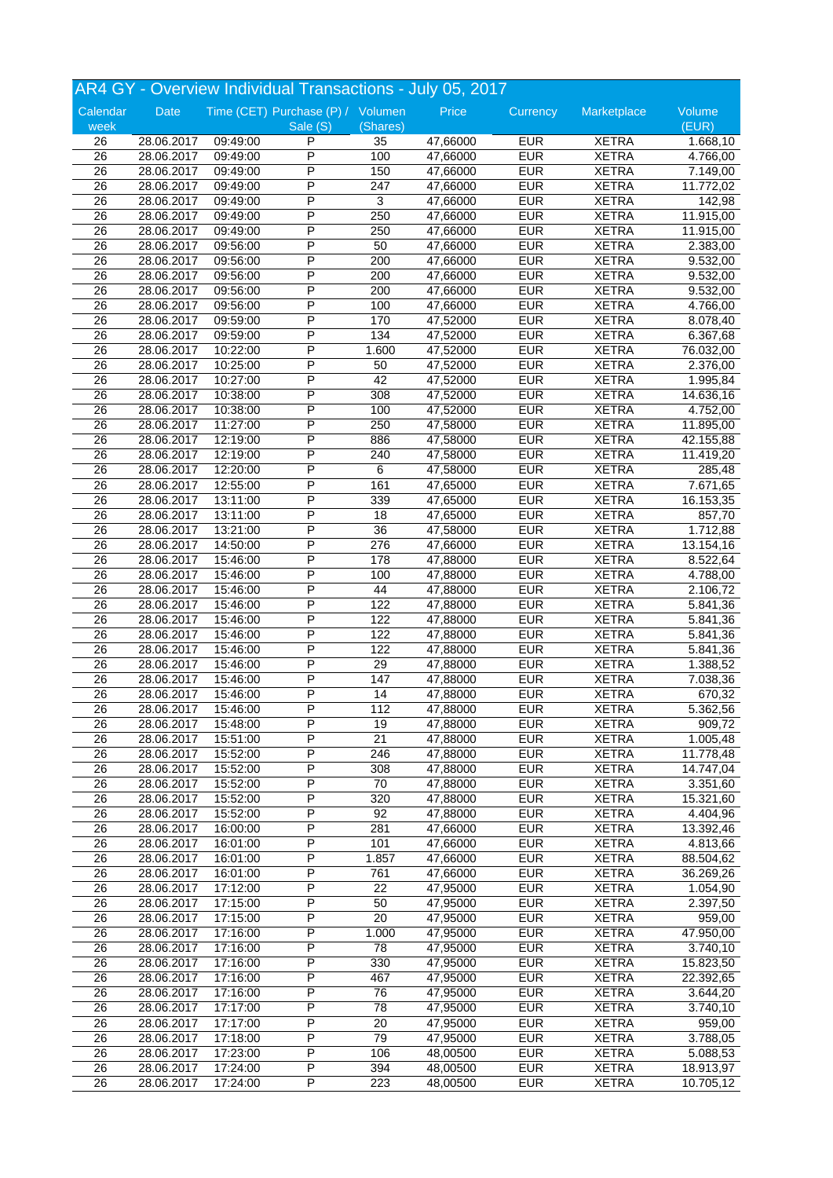|                 |             |          | AR4 GY - Overview Individual Transactions - July 05, 2017 |                 |          |            |              |                       |
|-----------------|-------------|----------|-----------------------------------------------------------|-----------------|----------|------------|--------------|-----------------------|
| Calendar        | <b>Date</b> |          | Time (CET) Purchase (P) / Volumen                         |                 | Price    | Currency   | Marketplace  | Volume                |
| week            |             |          | Sale (S)                                                  | (Shares)        |          |            |              | (EUR)                 |
| 26              | 28.06.2017  | 09:49:00 | P                                                         | 35              | 47,66000 | <b>EUR</b> | <b>XETRA</b> | 1.668,10              |
| $\overline{26}$ | 28.06.2017  | 09:49:00 | P                                                         | 100             | 47,66000 | EUR        | <b>XETRA</b> | 4.766,00              |
| 26              | 28.06.2017  | 09:49:00 | P                                                         | 150             | 47,66000 | <b>EUR</b> | <b>XETRA</b> | 7.149,00              |
| 26              | 28.06.2017  | 09:49:00 | P                                                         | 247             | 47,66000 | <b>EUR</b> | <b>XETRA</b> | 11.772,02             |
| 26              | 28.06.2017  | 09:49:00 | P                                                         | 3               | 47,66000 | <b>EUR</b> | <b>XETRA</b> | 142,98                |
| 26              | 28.06.2017  | 09:49:00 | P                                                         | 250             | 47,66000 | <b>EUR</b> | <b>XETRA</b> | 11.915,00             |
| 26              | 28.06.2017  | 09:49:00 | P                                                         | 250             | 47,66000 | EUR        | <b>XETRA</b> | 11.915,00             |
| 26              | 28.06.2017  | 09:56:00 | P                                                         | 50              | 47,66000 | <b>EUR</b> | <b>XETRA</b> | 2.383,00              |
| 26              | 28.06.2017  | 09:56:00 | P                                                         | 200             | 47,66000 | <b>EUR</b> | <b>XETRA</b> | 9.532,00              |
| 26              | 28.06.2017  | 09:56:00 | Ρ                                                         | 200             | 47,66000 | <b>EUR</b> | <b>XETRA</b> | 9.532,00              |
| $\overline{26}$ | 28.06.2017  | 09:56:00 | P                                                         | 200             | 47,66000 | <b>EUR</b> | <b>XETRA</b> | 9.532,00              |
| 26              | 28.06.2017  | 09:56:00 | P                                                         | 100             | 47,66000 | <b>EUR</b> | <b>XETRA</b> | 4.766,00              |
| 26              | 28.06.2017  | 09:59:00 | P                                                         | 170             | 47,52000 | <b>EUR</b> | <b>XETRA</b> | 8.078,40              |
|                 |             |          | P                                                         |                 |          |            |              |                       |
| 26              | 28.06.2017  | 09:59:00 | P                                                         | 134             | 47,52000 | <b>EUR</b> | <b>XETRA</b> | 6.367,68              |
| $\overline{26}$ | 28.06.2017  | 10:22:00 |                                                           | 1.600           | 47,52000 | <b>EUR</b> | <b>XETRA</b> | 76.032,00             |
| 26              | 28.06.2017  | 10:25:00 | P                                                         | 50              | 47,52000 | EUR        | <b>XETRA</b> | 2.376,00              |
| 26              | 28.06.2017  | 10:27:00 | P                                                         | 42              | 47,52000 | <b>EUR</b> | <b>XETRA</b> | 1.995,84              |
| 26              | 28.06.2017  | 10:38:00 | P                                                         | 308             | 47,52000 | <b>EUR</b> | <b>XETRA</b> | 14.636,16             |
| $\overline{26}$ | 28.06.2017  | 10:38:00 | Ρ                                                         | 100             | 47,52000 | <b>EUR</b> | <b>XETRA</b> | 4.752,00              |
| 26              | 28.06.2017  | 11:27:00 | P                                                         | 250             | 47,58000 | <b>EUR</b> | <b>XETRA</b> | 11.895,00             |
| $\overline{26}$ | 28.06.2017  | 12:19:00 | P                                                         | 886             | 47,58000 | <b>EUR</b> | <b>XETRA</b> | 42.155,88             |
| 26              | 28.06.2017  | 12:19:00 | P                                                         | 240             | 47,58000 | <b>EUR</b> | <b>XETRA</b> | 11.419,20             |
| 26              | 28.06.2017  | 12:20:00 | P                                                         | 6               | 47,58000 | <b>EUR</b> | <b>XETRA</b> | 285,48                |
| 26              | 28.06.2017  | 12:55:00 | P                                                         | 161             | 47,65000 | <b>EUR</b> | <b>XETRA</b> | 7.671,65              |
| 26              | 28.06.2017  | 13:11:00 | P                                                         | 339             | 47,65000 | <b>EUR</b> | <b>XETRA</b> | 16.153,35             |
| 26              | 28.06.2017  | 13:11:00 | P                                                         | 18              | 47,65000 | EUR        | <b>XETRA</b> | 857,70                |
| $\overline{26}$ | 28.06.2017  | 13:21:00 | P                                                         | $\overline{36}$ | 47,58000 | <b>EUR</b> | <b>XETRA</b> | 1.712,88              |
| 26              | 28.06.2017  | 14:50:00 | P                                                         | 276             | 47,66000 | <b>EUR</b> | <b>XETRA</b> | 13.154,16             |
| $\overline{26}$ | 28.06.2017  | 15:46:00 | P                                                         | 178             | 47,88000 | <b>EUR</b> | <b>XETRA</b> | 8.522,64              |
| 26              | 28.06.2017  | 15:46:00 | P                                                         | 100             | 47,88000 | <b>EUR</b> | <b>XETRA</b> | 4.788,00              |
| 26              | 28.06.2017  | 15:46:00 | P                                                         | 44              | 47,88000 | EUR        | <b>XETRA</b> | 2.106,72              |
| 26              | 28.06.2017  | 15:46:00 | P                                                         | 122             | 47,88000 | <b>EUR</b> | <b>XETRA</b> | 5.841,36              |
| 26              | 28.06.2017  | 15:46:00 | P                                                         | 122             | 47,88000 | <b>EUR</b> | <b>XETRA</b> | 5.841,36              |
| 26              | 28.06.2017  | 15:46:00 | P                                                         | 122             | 47,88000 | EUR        | <b>XETRA</b> | 5.841,36              |
| 26              | 28.06.2017  | 15:46:00 | P                                                         | 122             | 47,88000 | <b>EUR</b> | <b>XETRA</b> | 5.841,36              |
| 26              | 28.06.2017  | 15:46:00 | P                                                         | 29              | 47,88000 | <b>EUR</b> | <b>XETRA</b> | 1.388,52              |
| 26              | 28.06.2017  | 15:46:00 | P                                                         | 147             | 47,88000 | <b>EUR</b> | <b>XETRA</b> | 7.038,36              |
| 26              | 28.06.2017  | 15:46:00 | P                                                         | 14              | 47,88000 | EUR        | <b>XETRA</b> | 670,32                |
| $\overline{26}$ | 28.06.2017  | 15:46:00 | P                                                         | 112             | 47,88000 | <b>EUR</b> | <b>XETRA</b> | 5.362,56              |
|                 |             |          |                                                           |                 |          |            |              |                       |
| 26              | 28.06.2017  | 15:48:00 | P                                                         | 19              | 47.88000 | <b>EUR</b> | <b>XETRA</b> | 909,72                |
| 26              | 28.06.2017  | 15:51:00 | P                                                         | 21              | 47,88000 | <b>EUR</b> | <b>XETRA</b> | 1.005,48              |
| 26              | 28.06.2017  | 15:52:00 | Ρ                                                         | 246             | 47,88000 | <b>EUR</b> | <b>XETRA</b> | 11.778,48             |
| 26              | 28.06.2017  | 15:52:00 | P                                                         | 308             | 47,88000 | <b>EUR</b> | <b>XETRA</b> | 14.747,04             |
| 26              | 28.06.2017  | 15:52:00 | Ρ                                                         | 70              | 47,88000 | <b>EUR</b> | <b>XETRA</b> | 3.351,60              |
| 26              | 28.06.2017  | 15:52:00 | P                                                         | 320             | 47,88000 | <b>EUR</b> | <b>XETRA</b> | 15.321,60             |
| 26              | 28.06.2017  | 15:52:00 | Ρ                                                         | 92              | 47,88000 | <b>EUR</b> | <b>XETRA</b> | 4.404,96              |
| 26              | 28.06.2017  | 16:00:00 | P                                                         | 281             | 47,66000 | <b>EUR</b> | <b>XETRA</b> | 13.392,46             |
| 26              | 28.06.2017  | 16:01:00 | P                                                         | 101             | 47,66000 | <b>EUR</b> | <b>XETRA</b> | 4.813,66              |
| 26              | 28.06.2017  | 16:01:00 | P                                                         | 1.857           | 47,66000 | <b>EUR</b> | <b>XETRA</b> | 88.504,62             |
| 26              | 28.06.2017  | 16:01:00 | Ρ                                                         | 761             | 47,66000 | <b>EUR</b> | <b>XETRA</b> | 36.269,26             |
| 26              | 28.06.2017  | 17:12:00 | P                                                         | 22              | 47,95000 | <b>EUR</b> | <b>XETRA</b> | 1.054,90              |
| 26              | 28.06.2017  | 17:15:00 | P                                                         | 50              | 47,95000 | EUR        | <b>XETRA</b> | 2.397,50              |
| 26              | 28.06.2017  | 17:15:00 | Ρ                                                         | 20              | 47,95000 | <b>EUR</b> | <b>XETRA</b> | 959,00                |
| 26              | 28.06.2017  | 17:16:00 | P                                                         | 1.000           | 47,95000 | <b>EUR</b> | <b>XETRA</b> | 47.950,00             |
| 26              | 28.06.2017  | 17:16:00 | Ρ                                                         | 78              | 47,95000 | <b>EUR</b> | <b>XETRA</b> | 3.740,10              |
| 26              | 28.06.2017  | 17:16:00 | P                                                         | 330             | 47,95000 | <b>EUR</b> | <b>XETRA</b> | 15.823,50             |
| 26              | 28.06.2017  | 17:16:00 | Ρ                                                         | 467             | 47,95000 | <b>EUR</b> | <b>XETRA</b> | 22.392,65             |
| 26              | 28.06.2017  | 17:16:00 | P                                                         | 76              | 47,95000 | <b>EUR</b> | <b>XETRA</b> | 3.644,20              |
| 26              | 28.06.2017  | 17:17:00 | Ρ                                                         | 78              | 47,95000 | <b>EUR</b> | <b>XETRA</b> | 3.740,10              |
| 26              | 28.06.2017  | 17:17:00 | Ρ                                                         | 20              | 47,95000 | <b>EUR</b> | <b>XETRA</b> | 959,00                |
| 26              | 28.06.2017  | 17:18:00 | P                                                         | 79              | 47,95000 | <b>EUR</b> | <b>XETRA</b> | 3.788,05              |
| 26              | 28.06.2017  | 17:23:00 | P                                                         | 106             | 48,00500 | EUR        | <b>XETRA</b> | $\overline{5.088,53}$ |
| 26              | 28.06.2017  | 17:24:00 | P                                                         | 394             | 48,00500 | <b>EUR</b> | <b>XETRA</b> | 18.913,97             |
| 26              |             |          | P                                                         |                 |          |            |              |                       |
|                 | 28.06.2017  | 17:24:00 |                                                           | 223             | 48,00500 | <b>EUR</b> | <b>XETRA</b> | 10.705,12             |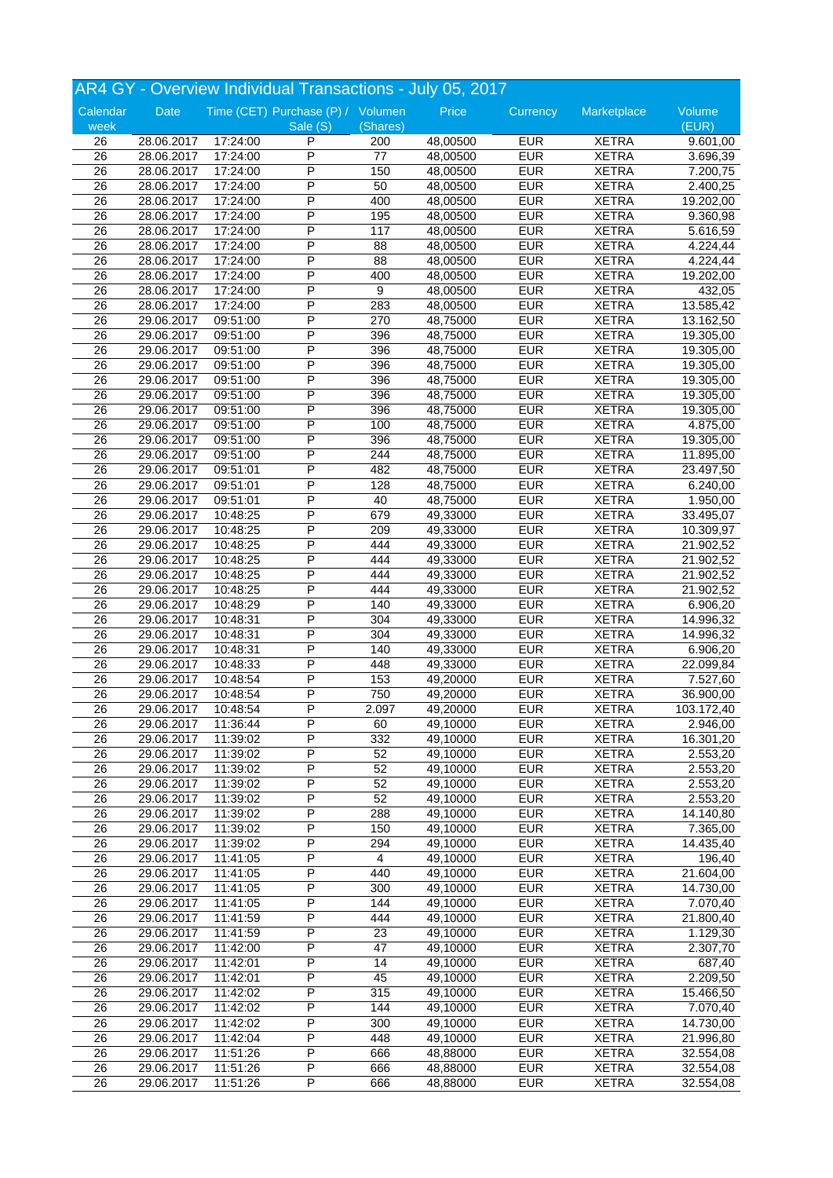|                 |            |                      | AR4 GY - Overview Individual Transactions - July 05, 2017 |                 |          |            |              |                        |
|-----------------|------------|----------------------|-----------------------------------------------------------|-----------------|----------|------------|--------------|------------------------|
| Calendar        | Date       |                      | Time (CET) Purchase (P) / Volumen                         |                 | Price    | Currency   | Marketplace  | Volume                 |
| week            |            |                      | Sale (S)                                                  | (Shares)        |          |            |              | (EUR)                  |
| 26              | 28.06.2017 | 17:24:00             | P                                                         | 200             | 48,00500 | <b>EUR</b> | <b>XETRA</b> | 9.601,00               |
| $\overline{26}$ | 28.06.2017 | 17:24:00             | P                                                         | $\overline{77}$ | 48,00500 | <b>EUR</b> | <b>XETRA</b> | 3.696,39               |
| 26              | 28.06.2017 | 17:24:00             | P                                                         | 150             | 48,00500 | <b>EUR</b> | <b>XETRA</b> | 7.200,75               |
| 26              | 28.06.2017 | 17:24:00             | P                                                         | 50              | 48,00500 | <b>EUR</b> | <b>XETRA</b> | 2.400,25               |
| 26              | 28.06.2017 | 17:24:00             | P                                                         | 400             | 48,00500 | <b>EUR</b> | <b>XETRA</b> | 19.202,00              |
| 26              | 28.06.2017 | 17:24:00             | P                                                         | 195             | 48,00500 | <b>EUR</b> | <b>XETRA</b> | 9.360,98               |
| 26              | 28.06.2017 | 17:24:00             | P                                                         | 117             | 48,00500 | <b>EUR</b> | <b>XETRA</b> | 5.616,59               |
| 26              | 28.06.2017 | 17:24:00             | P                                                         | 88              | 48,00500 | <b>EUR</b> | <b>XETRA</b> | 4.224,44               |
| 26              | 28.06.2017 | 17:24:00             | P                                                         | 88              | 48,00500 | <b>EUR</b> | <b>XETRA</b> | 4.224,44               |
| 26              | 28.06.2017 | 17:24:00             | Ρ                                                         | 400             | 48,00500 | <b>EUR</b> | <b>XETRA</b> | 19.202,00              |
| $\overline{26}$ | 28.06.2017 | 17:24:00             | P                                                         | 9               | 48,00500 | <b>EUR</b> | <b>XETRA</b> | 432,05                 |
| 26              | 28.06.2017 | 17:24:00             | P                                                         | 283             | 48,00500 | <b>EUR</b> | <b>XETRA</b> | 13.585,42              |
| $\overline{26}$ | 29.06.2017 | 09:51:00             | P                                                         | 270             | 48,75000 | <b>EUR</b> | <b>XETRA</b> | 13.162,50              |
| 26              | 29.06.2017 | 09:51:00             | P                                                         | 396             | 48,75000 | <b>EUR</b> | <b>XETRA</b> | 19.305,00              |
| $\overline{26}$ | 29.06.2017 | 09:51:00             | P                                                         | 396             | 48,75000 | <b>EUR</b> | <b>XETRA</b> | 19.305,00              |
| 26              | 29.06.2017 | 09:51:00             | P                                                         | 396             | 48,75000 | <b>EUR</b> | <b>XETRA</b> | 19.305,00              |
| $\overline{26}$ | 29.06.2017 |                      | P                                                         | 396             | 48,75000 | <b>EUR</b> | <b>XETRA</b> |                        |
|                 |            | 09:51:00<br>09:51:00 | P                                                         | 396             | 48,75000 | <b>EUR</b> | <b>XETRA</b> | 19.305,00<br>19.305,00 |
| 26              | 29.06.2017 |                      | P                                                         |                 |          |            |              |                        |
| $\overline{26}$ | 29.06.2017 | 09:51:00             | P                                                         | 396             | 48,75000 | <b>EUR</b> | <b>XETRA</b> | 19.305,00              |
| 26              | 29.06.2017 | 09:51:00             |                                                           | 100             | 48,75000 | <b>EUR</b> | <b>XETRA</b> | 4.875,00               |
| $\overline{26}$ | 29.06.2017 | 09:51:00             | P                                                         | 396             | 48,75000 | <b>EUR</b> | <b>XETRA</b> | 19.305,00              |
| 26              | 29.06.2017 | 09:51:00             | P                                                         | 244             | 48,75000 | <b>EUR</b> | <b>XETRA</b> | 11.895,00              |
| 26              | 29.06.2017 | 09:51:01             | P                                                         | 482             | 48,75000 | <b>EUR</b> | <b>XETRA</b> | 23.497,50              |
| 26              | 29.06.2017 | 09:51:01             | Ρ                                                         | 128             | 48,75000 | <b>EUR</b> | <b>XETRA</b> | 6.240,00               |
| 26              | 29.06.2017 | 09:51:01             | P                                                         | 40              | 48,75000 | <b>EUR</b> | <b>XETRA</b> | 1.950,00               |
| 26              | 29.06.2017 | 10:48:25             | P                                                         | 679             | 49,33000 | <b>EUR</b> | <b>XETRA</b> | 33.495,07              |
| 26              | 29.06.2017 | 10:48:25             | P                                                         | 209             | 49,33000 | <b>EUR</b> | <b>XETRA</b> | 10.309,97              |
| 26              | 29.06.2017 | 10:48:25             | P                                                         | 444             | 49,33000 | <b>EUR</b> | <b>XETRA</b> | 21.902,52              |
| $\overline{26}$ | 29.06.2017 | 10:48:25             | P                                                         | 444             | 49,33000 | <b>EUR</b> | <b>XETRA</b> | 21.902,52              |
| 26              | 29.06.2017 | 10:48:25             | P                                                         | 444             | 49,33000 | <b>EUR</b> | <b>XETRA</b> | 21.902,52              |
| 26              | 29.06.2017 | 10:48:25             | P                                                         | 444             | 49,33000 | <b>EUR</b> | <b>XETRA</b> | 21.902,52              |
| 26              | 29.06.2017 | 10:48:29             | P                                                         | 140             | 49,33000 | <b>EUR</b> | <b>XETRA</b> | 6.906,20               |
| 26              | 29.06.2017 | 10:48:31             | Ρ                                                         | 304             | 49,33000 | <b>EUR</b> | <b>XETRA</b> | 14.996,32              |
| 26              | 29.06.2017 | 10:48:31             | P                                                         | 304             | 49,33000 | <b>EUR</b> | <b>XETRA</b> | 14.996,32              |
| 26              | 29.06.2017 | 10:48:31             | P                                                         | 140             | 49,33000 | <b>EUR</b> | <b>XETRA</b> | 6.906,20               |
| 26              | 29.06.2017 | 10:48:33             | P                                                         | 448             | 49,33000 | <b>EUR</b> | <b>XETRA</b> | 22.099,84              |
| 26              | 29.06.2017 | 10:48:54             | P                                                         | 153             | 49,20000 | <b>EUR</b> | <b>XETRA</b> | 7.527,60               |
| 26              | 29.06.2017 | 10:48:54             | P                                                         | 750             | 49,20000 | <b>EUR</b> | <b>XETRA</b> | 36.900,00              |
| $\overline{26}$ | 29.06.2017 | 10:48:54             | $\overline{P}$                                            | 2.097           | 49,20000 | <b>EUR</b> | <b>XETRA</b> | 103.172,40             |
| 26              | 29.06.2017 | 11:36:44             | P                                                         | 60              | 49,10000 | <b>EUR</b> | <b>XETRA</b> | 2.946,00               |
| 26              | 29.06.2017 | 11:39:02             | P                                                         | 332             | 49,10000 | <b>EUR</b> | <b>XETRA</b> | 16.301,20              |
| 26              | 29.06.2017 | 11:39:02             | Ρ                                                         | 52              | 49,10000 | <b>EUR</b> | <b>XETRA</b> | 2.553,20               |
| 26              | 29.06.2017 | 11:39:02             | P                                                         | 52              | 49,10000 | <b>EUR</b> | <b>XETRA</b> | 2.553,20               |
| 26              | 29.06.2017 | 11:39:02             | P                                                         | 52              | 49,10000 | <b>EUR</b> | <b>XETRA</b> | 2.553,20               |
| 26              | 29.06.2017 | 11:39:02             | P                                                         | 52              | 49,10000 | <b>EUR</b> | <b>XETRA</b> | 2.553,20               |
| 26              | 29.06.2017 | 11:39:02             | Ρ                                                         | 288             | 49,10000 | <b>EUR</b> | <b>XETRA</b> | $\overline{14.140,80}$ |
| 26              | 29.06.2017 | 11:39:02             | Ρ                                                         | 150             | 49,10000 | <b>EUR</b> | <b>XETRA</b> | 7.365,00               |
| 26              | 29.06.2017 | 11:39:02             | P                                                         | 294             | 49,10000 | <b>EUR</b> | <b>XETRA</b> | 14.435,40              |
| 26              | 29.06.2017 | 11:41:05             | Ρ                                                         | 4               | 49,10000 | <b>EUR</b> | <b>XETRA</b> | 196,40                 |
| 26              | 29.06.2017 | 11:41:05             | Ρ                                                         | 440             | 49,10000 | <b>EUR</b> | <b>XETRA</b> | 21.604,00              |
| 26              |            |                      | Ρ                                                         |                 | 49,10000 | <b>EUR</b> | <b>XETRA</b> |                        |
|                 | 29.06.2017 | 11:41:05             | P                                                         | 300             |          | <b>EUR</b> |              | 14.730,00              |
| 26              | 29.06.2017 | 11:41:05             |                                                           | 144             | 49,10000 |            | <b>XETRA</b> | 7.070,40               |
| 26              | 29.06.2017 | 11:41:59             | P                                                         | 444             | 49,10000 | <b>EUR</b> | <b>XETRA</b> | 21.800,40              |
| 26              | 29.06.2017 | 11:41:59             | P                                                         | 23              | 49,10000 | <b>EUR</b> | <b>XETRA</b> | 1.129,30               |
| 26              | 29.06.2017 | 11:42:00             | Ρ                                                         | 47              | 49,10000 | <b>EUR</b> | <b>XETRA</b> | 2.307,70               |
| 26              | 29.06.2017 | 11:42:01             | Ρ                                                         | 14              | 49,10000 | <b>EUR</b> | <b>XETRA</b> | 687,40                 |
| 26              | 29.06.2017 | 11:42:01             | P                                                         | 45              | 49,10000 | <b>EUR</b> | <b>XETRA</b> | 2.209,50               |
| 26              | 29.06.2017 | 11:42:02             | P                                                         | 315             | 49,10000 | <b>EUR</b> | <b>XETRA</b> | 15.466,50              |
| 26              | 29.06.2017 | 11:42:02             | P                                                         | 144             | 49,10000 | <b>EUR</b> | <b>XETRA</b> | 7.070,40               |
| 26              | 29.06.2017 | 11:42:02             | Ρ                                                         | 300             | 49,10000 | <b>EUR</b> | <b>XETRA</b> | 14.730,00              |
| 26              | 29.06.2017 | 11:42:04             | P                                                         | 448             | 49,10000 | <b>EUR</b> | <b>XETRA</b> | 21.996,80              |
| 26              | 29.06.2017 | 11:51:26             | P                                                         | 666             | 48,88000 | <b>EUR</b> | <b>XETRA</b> | 32.554,08              |
| 26              | 29.06.2017 | 11:51:26             | Ρ                                                         | 666             | 48,88000 | <b>EUR</b> | <b>XETRA</b> | 32.554,08              |
| 26              | 29.06.2017 | 11:51:26             | P                                                         | 666             | 48,88000 | <b>EUR</b> | <b>XETRA</b> | 32.554,08              |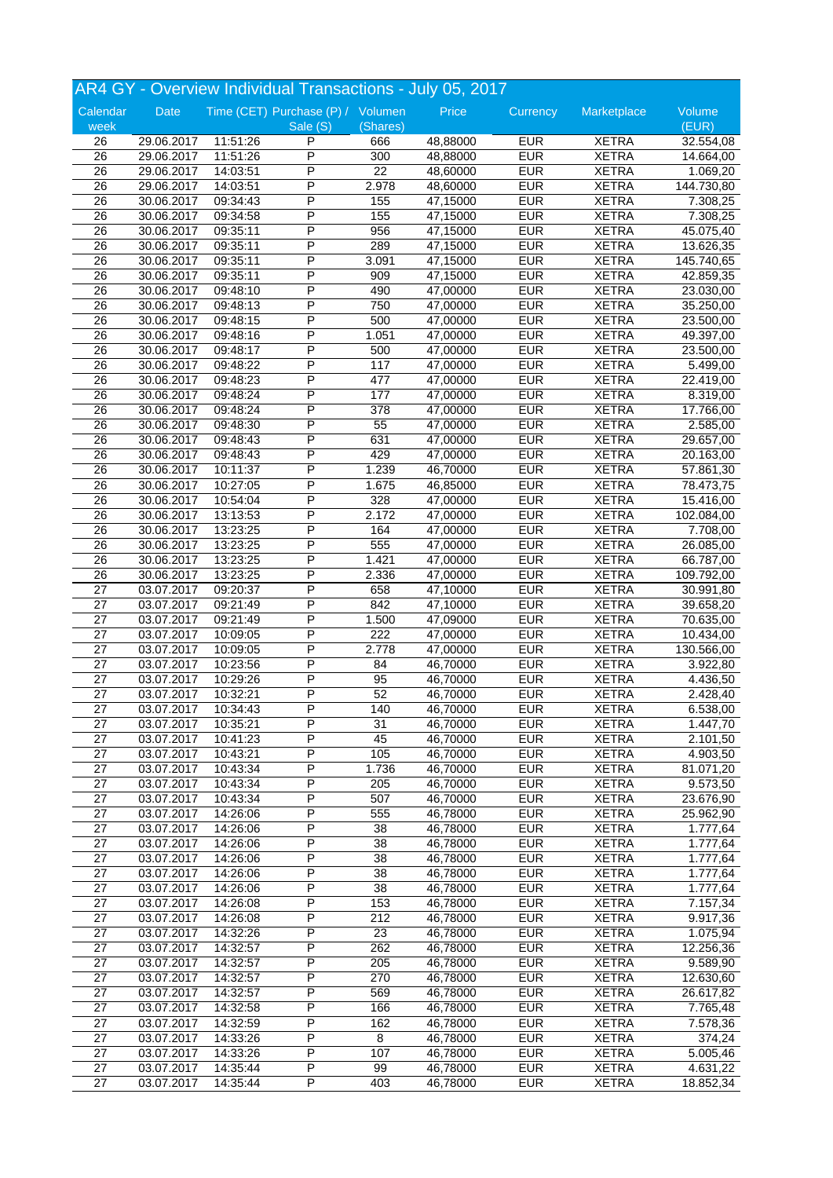|                 |                          |          | AR4 GY - Overview Individual Transactions - July 05, 2017 |                 |          |            |              |            |
|-----------------|--------------------------|----------|-----------------------------------------------------------|-----------------|----------|------------|--------------|------------|
| Calendar        | Date                     |          | Time (CET) Purchase (P) / Volumen                         |                 | Price    | Currency   | Marketplace  | Volume     |
| week            |                          |          | Sale (S)                                                  | (Shares)        |          |            |              | (EUR)      |
| 26              | 29.06.2017               | 11:51:26 | P                                                         | 666             | 48,88000 | <b>EUR</b> | <b>XETRA</b> | 32.554,08  |
| $\overline{26}$ | 29.06.2017               | 11:51:26 | P                                                         | 300             | 48,88000 | <b>EUR</b> | <b>XETRA</b> | 14.664,00  |
| 26              | 29.06.2017               | 14:03:51 | P                                                         | $\overline{22}$ | 48,60000 | <b>EUR</b> | <b>XETRA</b> | 1.069,20   |
| 26              | 29.06.2017               | 14:03:51 | P                                                         | 2.978           | 48,60000 | <b>EUR</b> | <b>XETRA</b> | 144.730,80 |
| 26              | 30.06.2017               | 09:34:43 | P                                                         | 155             | 47,15000 | <b>EUR</b> | <b>XETRA</b> | 7.308,25   |
| 26              | 30.06.2017               | 09:34:58 | P                                                         | 155             | 47,15000 | <b>EUR</b> | <b>XETRA</b> | 7.308,25   |
| 26              | 30.06.2017               | 09:35:11 | P                                                         | 956             | 47,15000 | <b>EUR</b> | <b>XETRA</b> | 45.075,40  |
| 26              | 30.06.2017               | 09:35:11 | P                                                         | 289             | 47,15000 | <b>EUR</b> | <b>XETRA</b> | 13.626,35  |
| $\overline{26}$ | 30.06.2017               | 09:35:11 | P                                                         | 3.091           | 47,15000 | <b>EUR</b> | <b>XETRA</b> | 145.740,65 |
| 26              | 30.06.2017               | 09:35:11 | P                                                         | 909             | 47,15000 | <b>EUR</b> | <b>XETRA</b> | 42.859,35  |
| $\overline{26}$ | 30.06.2017               | 09:48:10 | P                                                         | 490             | 47,00000 | <b>EUR</b> | <b>XETRA</b> | 23.030,00  |
| 26              | 30.06.2017               | 09:48:13 | P                                                         | 750             | 47,00000 | <b>EUR</b> | <b>XETRA</b> | 35.250,00  |
| $\overline{26}$ | 30.06.2017               | 09:48:15 | P                                                         | 500             | 47,00000 | <b>EUR</b> | <b>XETRA</b> | 23.500,00  |
| 26              | 30.06.2017               | 09:48:16 | P                                                         | 1.051           | 47,00000 | <b>EUR</b> | <b>XETRA</b> | 49.397,00  |
| $\overline{26}$ | 30.06.2017               | 09:48:17 | P                                                         | 500             | 47,00000 | <b>EUR</b> | <b>XETRA</b> | 23.500,00  |
| 26              | 30.06.2017               | 09:48:22 | P                                                         | 117             | 47,00000 | <b>EUR</b> | <b>XETRA</b> | 5.499,00   |
| $\overline{26}$ | 30.06.2017               | 09:48:23 | P                                                         | 477             | 47,00000 | <b>EUR</b> | <b>XETRA</b> | 22.419,00  |
| 26              | 30.06.2017               | 09:48:24 | P                                                         | 177             | 47,00000 | <b>EUR</b> | <b>XETRA</b> | 8.319,00   |
| $\overline{26}$ | 30.06.2017               | 09:48:24 | P                                                         | 378             | 47,00000 | <b>EUR</b> | <b>XETRA</b> | 17.766,00  |
| 26              | 30.06.2017               | 09:48:30 | P                                                         | 55              | 47,00000 | <b>EUR</b> | <b>XETRA</b> | 2.585,00   |
| 26              | 30.06.2017               | 09:48:43 | P                                                         | 631             | 47,00000 | <b>EUR</b> | <b>XETRA</b> | 29.657,00  |
| 26              | 30.06.2017               | 09:48:43 | P                                                         | 429             | 47,00000 | <b>EUR</b> | <b>XETRA</b> | 20.163,00  |
| 26              | 30.06.2017               | 10:11:37 | P                                                         | 1.239           | 46,70000 | <b>EUR</b> | <b>XETRA</b> | 57.861,30  |
| 26              | 30.06.2017               | 10:27:05 | Ρ                                                         | 1.675           | 46,85000 | <b>EUR</b> | <b>XETRA</b> | 78.473,75  |
| 26              | 30.06.2017               | 10:54:04 | P                                                         | 328             | 47,00000 | <b>EUR</b> | <b>XETRA</b> | 15.416,00  |
| 26              | 30.06.2017               | 13:13:53 | P                                                         | 2.172           | 47,00000 | <b>EUR</b> | <b>XETRA</b> | 102.084,00 |
| 26              | 30.06.2017               | 13:23:25 | P                                                         | 164             | 47,00000 | <b>EUR</b> | <b>XETRA</b> | 7.708,00   |
| 26              | 30.06.2017               | 13:23:25 | P                                                         | 555             | 47,00000 | <b>EUR</b> | <b>XETRA</b> | 26.085,00  |
| $\overline{26}$ | 30.06.2017               | 13:23:25 | P                                                         | 1.421           | 47,00000 | <b>EUR</b> | <b>XETRA</b> | 66.787,00  |
| 26              | 30.06.2017               | 13:23:25 | P                                                         | 2.336           | 47,00000 | <b>EUR</b> | <b>XETRA</b> | 109.792,00 |
| 27              | 03.07.2017               | 09:20:37 | P                                                         | 658             | 47,10000 | <b>EUR</b> | <b>XETRA</b> | 30.991,80  |
| 27              | 03.07.2017               | 09:21:49 | P                                                         | 842             | 47,10000 | <b>EUR</b> | <b>XETRA</b> | 39.658,20  |
| 27              | 03.07.2017               | 09:21:49 | Ρ                                                         | 1.500           | 47,09000 | <b>EUR</b> | <b>XETRA</b> | 70.635,00  |
| 27              | 03.07.2017               | 10:09:05 | P                                                         | 222             | 47,00000 | <b>EUR</b> | <b>XETRA</b> | 10.434,00  |
| 27              | 03.07.2017               | 10:09:05 | P                                                         | 2.778           | 47,00000 | <b>EUR</b> | <b>XETRA</b> | 130.566,00 |
| 27              | 03.07.2017               | 10:23:56 | P                                                         | 84              | 46,70000 | <b>EUR</b> | <b>XETRA</b> | 3.922,80   |
| 27              | 03.07.2017               | 10:29:26 | P                                                         | 95              | 46,70000 | <b>EUR</b> | <b>XETRA</b> | 4.436,50   |
| 27              | 03.07.2017               | 10:32:21 | P                                                         | 52              | 46,70000 | <b>EUR</b> | <b>XETRA</b> | 2.428,40   |
| $\overline{27}$ | 03.07.2017               | 10:34:43 | $\overline{P}$                                            | 140             | 46,70000 | <b>EUR</b> | <b>XETRA</b> | 6.538,00   |
| 27              | 03.07.2017               | 10:35:21 | P                                                         | 31              | 46,70000 | <b>EUR</b> | <b>XETRA</b> | 1.447,70   |
| 27              | 03.07.2017               | 10:41:23 | P                                                         | 45              | 46,70000 | <b>EUR</b> | <b>XETRA</b> | 2.101,50   |
| 27              | 03.07.2017               | 10:43:21 | P                                                         | 105             | 46,70000 | <b>EUR</b> | <b>XETRA</b> | 4.903,50   |
| 27              | 03.07.2017               | 10:43:34 | P                                                         | 1.736           | 46,70000 | <b>EUR</b> | <b>XETRA</b> | 81.071,20  |
| 27              | 03.07.2017               | 10:43:34 | P                                                         | 205             | 46,70000 | <b>EUR</b> | <b>XETRA</b> | 9.573,50   |
| 27              | 03.07.2017               | 10:43:34 | P                                                         | 507             | 46,70000 | <b>EUR</b> | <b>XETRA</b> | 23.676,90  |
| 27              | 03.07.2017               | 14:26:06 | Ρ                                                         | 555             | 46,78000 | <b>EUR</b> | <b>XETRA</b> | 25.962,90  |
| 27              | 03.07.2017               | 14:26:06 | Ρ                                                         | 38              | 46,78000 | <b>EUR</b> | <b>XETRA</b> | 1.777,64   |
| 27              | 03.07.2017               | 14:26:06 | P                                                         | 38              | 46,78000 | <b>EUR</b> | <b>XETRA</b> | 1.777,64   |
| 27              | 03.07.2017               | 14:26:06 | Ρ                                                         | 38              | 46,78000 | <b>EUR</b> | <b>XETRA</b> | 1.777,64   |
| 27              | 03.07.2017               | 14:26:06 | Ρ                                                         | 38              | 46,78000 | <b>EUR</b> | <b>XETRA</b> | 1.777,64   |
|                 |                          |          | Ρ                                                         |                 | 46,78000 | <b>EUR</b> | <b>XETRA</b> |            |
| 27<br>27        | 03.07.2017<br>03.07.2017 | 14:26:06 | P                                                         | 38<br>153       | 46,78000 | <b>EUR</b> | <b>XETRA</b> | 1.777,64   |
| 27              |                          | 14:26:08 | P                                                         | 212             |          | <b>EUR</b> | <b>XETRA</b> | 7.157,34   |
|                 | 03.07.2017               | 14:26:08 |                                                           |                 | 46,78000 |            |              | 9.917,36   |
| 27              | 03.07.2017               | 14:32:26 | P                                                         | 23              | 46,78000 | <b>EUR</b> | <b>XETRA</b> | 1.075,94   |
| 27              | 03.07.2017               | 14:32:57 | Ρ                                                         | 262             | 46,78000 | <b>EUR</b> | <b>XETRA</b> | 12.256,36  |
| 27              | 03.07.2017               | 14:32:57 | P                                                         | 205             | 46,78000 | <b>EUR</b> | <b>XETRA</b> | 9.589,90   |
| 27              | 03.07.2017               | 14:32:57 | P                                                         | 270             | 46,78000 | <b>EUR</b> | <b>XETRA</b> | 12.630,60  |
| 27              | 03.07.2017               | 14:32:57 | Ρ                                                         | 569             | 46,78000 | <b>EUR</b> | <b>XETRA</b> | 26.617,82  |
| 27              | 03.07.2017               | 14:32:58 | P                                                         | 166             | 46,78000 | <b>EUR</b> | <b>XETRA</b> | 7.765,48   |
| 27              | 03.07.2017               | 14:32:59 | Ρ                                                         | 162             | 46,78000 | <b>EUR</b> | <b>XETRA</b> | 7.578,36   |
| 27              | 03.07.2017               | 14:33:26 | P                                                         | 8               | 46,78000 | <b>EUR</b> | <b>XETRA</b> | 374,24     |
| 27              | 03.07.2017               | 14:33:26 | P                                                         | 107             | 46,78000 | <b>EUR</b> | <b>XETRA</b> | 5.005,46   |
| 27              | 03.07.2017               | 14:35:44 | Ρ                                                         | 99              | 46,78000 | <b>EUR</b> | <b>XETRA</b> | 4.631,22   |
| 27              | 03.07.2017               | 14:35:44 | P                                                         | 403             | 46,78000 | <b>EUR</b> | <b>XETRA</b> | 18.852,34  |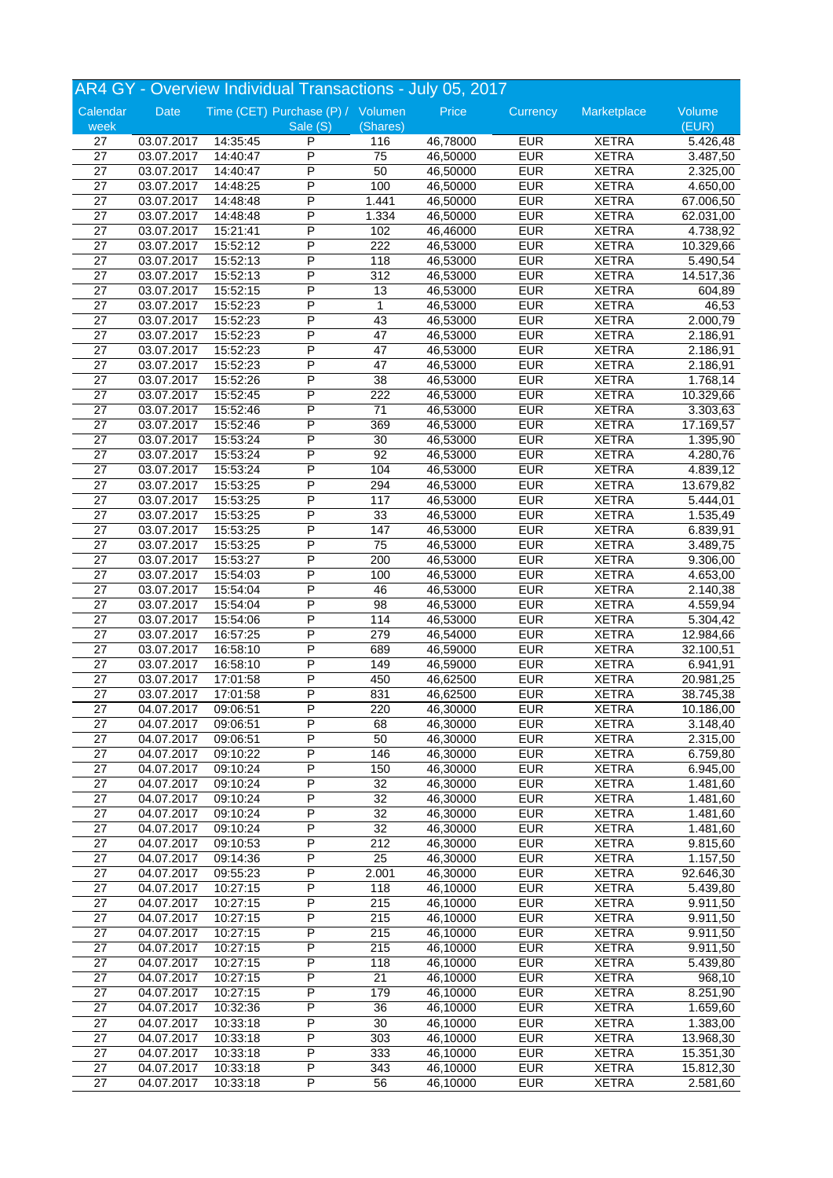|                 |                          |          |                                   |                 | AR4 GY - Overview Individual Transactions - July 05, 2017 |            |              |           |
|-----------------|--------------------------|----------|-----------------------------------|-----------------|-----------------------------------------------------------|------------|--------------|-----------|
| Calendar        | Date                     |          | Time (CET) Purchase (P) / Volumen |                 | Price                                                     | Currency   | Marketplace  | Volume    |
| week            |                          |          | Sale (S)                          | (Shares)        |                                                           |            |              | (EUR)     |
| 27              | 03.07.2017               | 14:35:45 | P                                 | 116             | 46,78000                                                  | <b>EUR</b> | <b>XETRA</b> | 5.426,48  |
| $\overline{27}$ | 03.07.2017               | 14:40:47 | P                                 | $\overline{75}$ | 46,50000                                                  | <b>EUR</b> | <b>XETRA</b> | 3.487,50  |
| $\overline{27}$ | 03.07.2017               | 14:40:47 | P                                 | 50              | 46,50000                                                  | <b>EUR</b> | <b>XETRA</b> | 2.325,00  |
| 27              | 03.07.2017               | 14:48:25 | P                                 | 100             | 46,50000                                                  | <b>EUR</b> | <b>XETRA</b> | 4.650,00  |
| 27              | 03.07.2017               | 14:48:48 | P                                 | 1.441           | 46,50000                                                  | <b>EUR</b> | <b>XETRA</b> | 67.006,50 |
| 27              | 03.07.2017               | 14:48:48 | P                                 | 1.334           | 46,50000                                                  | <b>EUR</b> | <b>XETRA</b> | 62.031,00 |
| 27              | 03.07.2017               | 15:21:41 | P                                 | 102             | 46,46000                                                  | <b>EUR</b> | <b>XETRA</b> | 4.738,92  |
| 27              | 03.07.2017               | 15:52:12 | P                                 | 222             | 46,53000                                                  | <b>EUR</b> | <b>XETRA</b> | 10.329,66 |
| $\overline{27}$ | 03.07.2017               | 15:52:13 | P                                 | 118             | 46,53000                                                  | <b>EUR</b> | <b>XETRA</b> | 5.490,54  |
| 27              | 03.07.2017               | 15:52:13 | Ρ                                 | 312             | 46,53000                                                  | <b>EUR</b> | <b>XETRA</b> | 14.517,36 |
| 27              | 03.07.2017               | 15:52:15 | $\overline{\mathsf{P}}$           | 13              | 46,53000                                                  | <b>EUR</b> | <b>XETRA</b> | 604,89    |
| $\overline{27}$ | 03.07.2017               | 15:52:23 | P                                 | $\mathbf{1}$    | 46,53000                                                  | <b>EUR</b> | <b>XETRA</b> | 46,53     |
| 27              | 03.07.2017               | 15:52:23 | P                                 | 43              | 46,53000                                                  | <b>EUR</b> | <b>XETRA</b> | 2.000,79  |
| 27              | 03.07.2017               | 15:52:23 | P                                 | 47              | 46,53000                                                  | <b>EUR</b> | <b>XETRA</b> | 2.186,91  |
| 27              | 03.07.2017               | 15:52:23 | P                                 | 47              | 46,53000                                                  | <b>EUR</b> | <b>XETRA</b> | 2.186,91  |
| 27              | 03.07.2017               | 15:52:23 | P                                 | 47              | 46,53000                                                  | <b>EUR</b> | <b>XETRA</b> | 2.186,91  |
| 27              | 03.07.2017               | 15:52:26 | P                                 | $\overline{38}$ | 46,53000                                                  | <b>EUR</b> | <b>XETRA</b> | 1.768,14  |
| 27              | 03.07.2017               | 15:52:45 | P                                 | 222             | 46,53000                                                  | <b>EUR</b> | <b>XETRA</b> | 10.329,66 |
| $\overline{27}$ | 03.07.2017               | 15:52:46 | P                                 | 71              | 46,53000                                                  | <b>EUR</b> | <b>XETRA</b> | 3.303,63  |
| 27              | 03.07.2017               | 15:52:46 | P                                 | 369             | 46,53000                                                  | <b>EUR</b> | <b>XETRA</b> | 17.169,57 |
| 27              | 03.07.2017               | 15:53:24 | P                                 | 30              | 46,53000                                                  | <b>EUR</b> | <b>XETRA</b> | 1.395,90  |
| 27              | 03.07.2017               | 15:53:24 | P                                 | 92              | 46,53000                                                  | <b>EUR</b> | <b>XETRA</b> | 4.280,76  |
| 27              | 03.07.2017               | 15:53:24 | P                                 | 104             | 46,53000                                                  | <b>EUR</b> | <b>XETRA</b> | 4.839,12  |
| 27              | 03.07.2017               | 15:53:25 | Ρ                                 | 294             | 46,53000                                                  | <b>EUR</b> | <b>XETRA</b> | 13.679,82 |
| 27              | 03.07.2017               | 15:53:25 | P                                 | 117             | 46,53000                                                  | <b>EUR</b> | <b>XETRA</b> | 5.444,01  |
| 27              | 03.07.2017               | 15:53:25 | P                                 | 33              | 46,53000                                                  | EUR        | <b>XETRA</b> | 1.535,49  |
| 27              | 03.07.2017               | 15:53:25 | P                                 | 147             | 46,53000                                                  | <b>EUR</b> | <b>XETRA</b> | 6.839,91  |
| 27              | 03.07.2017               | 15:53:25 | P                                 | 75              | 46,53000                                                  | <b>EUR</b> | <b>XETRA</b> | 3.489,75  |
| 27              | 03.07.2017               | 15:53:27 | P                                 | 200             | 46,53000                                                  | <b>EUR</b> | <b>XETRA</b> | 9.306,00  |
| $\overline{27}$ | 03.07.2017               | 15:54:03 | P                                 | 100             | 46,53000                                                  | <b>EUR</b> | <b>XETRA</b> | 4.653,00  |
| 27              | 03.07.2017               | 15:54:04 | P                                 | 46              | 46,53000                                                  | <b>EUR</b> | <b>XETRA</b> | 2.140,38  |
| 27              | 03.07.2017               | 15:54:04 | P                                 | 98              | 46,53000                                                  | <b>EUR</b> | <b>XETRA</b> | 4.559,94  |
| 27              | 03.07.2017               | 15:54:06 | Ρ                                 | 114             | 46,53000                                                  | <b>EUR</b> | <b>XETRA</b> | 5.304,42  |
| 27              | 03.07.2017               | 16:57:25 | P                                 | 279             | 46,54000                                                  | <b>EUR</b> | <b>XETRA</b> | 12.984,66 |
| 27              | 03.07.2017               | 16:58:10 | P                                 | 689             | 46,59000                                                  | <b>EUR</b> | <b>XETRA</b> | 32.100,51 |
| 27              | 03.07.2017               | 16:58:10 | P                                 | 149             | 46,59000                                                  | <b>EUR</b> | <b>XETRA</b> | 6.941,91  |
| 27              | 03.07.2017               | 17:01:58 | P                                 | 450             | 46,62500                                                  | <b>EUR</b> | <b>XETRA</b> | 20.981,25 |
| 27              | 03.07.2017               | 17:01:58 | P                                 | 831             | 46,62500                                                  | <b>EUR</b> | <b>XETRA</b> | 38.745,38 |
| $\overline{27}$ | 04.07.2017               | 09:06:51 | P                                 | 220             | 46,30000                                                  | <b>EUR</b> | <b>XETRA</b> | 10.186,00 |
| 27              | 04.07.2017               | 09:06:51 | P                                 | 68              | 46,30000                                                  | <b>EUR</b> | <b>XETRA</b> | 3.148,40  |
| 27              | 04.07.2017               | 09:06:51 | Ρ                                 | 50              | 46,30000                                                  | <b>EUR</b> | <b>XETRA</b> | 2.315,00  |
| 27              | 04.07.2017               | 09:10:22 | P                                 | 146             | 46,30000                                                  | <b>EUR</b> | <b>XETRA</b> | 6.759,80  |
| $\overline{27}$ | 04.07.2017               | 09:10:24 | P                                 | 150             | 46,30000                                                  | <b>EUR</b> | <b>XETRA</b> | 6.945,00  |
| 27              | 04.07.2017               | 09:10:24 | Ρ                                 | 32              | 46,30000                                                  | <b>EUR</b> | <b>XETRA</b> | 1.481,60  |
| 27              | 04.07.2017               | 09:10:24 | P                                 | 32              | 46,30000                                                  | <b>EUR</b> | <b>XETRA</b> | 1.481,60  |
| 27              | 04.07.2017               | 09:10:24 | Ρ                                 | 32              | 46,30000                                                  | <b>EUR</b> | <b>XETRA</b> | 1.481,60  |
| 27              | 04.07.2017               | 09:10:24 | Ρ                                 | 32              | 46,30000                                                  | <b>EUR</b> | <b>XETRA</b> | 1.481,60  |
| 27              | 04.07.2017               | 09:10:53 | P                                 | 212             | 46,30000                                                  | <b>EUR</b> | <b>XETRA</b> | 9.815,60  |
| 27              | 04.07.2017               | 09:14:36 | Ρ                                 | 25              | 46,30000                                                  | <b>EUR</b> | <b>XETRA</b> | 1.157,50  |
| 27              | 04.07.2017               | 09:55:23 | Ρ                                 | 2.001           | 46,30000                                                  | <b>EUR</b> | <b>XETRA</b> | 92.646,30 |
| 27              | 04.07.2017               | 10:27:15 | Ρ                                 | 118             | 46,10000                                                  | <b>EUR</b> | <b>XETRA</b> | 5.439,80  |
| 27              | 04.07.2017               | 10:27:15 | P                                 | 215             | 46,10000                                                  | <b>EUR</b> | <b>XETRA</b> | 9.911,50  |
| $\overline{27}$ | 04.07.2017               | 10:27:15 | P                                 | 215             | 46,10000                                                  | <b>EUR</b> | <b>XETRA</b> | 9.911,50  |
| 27              | 04.07.2017               | 10:27:15 | P                                 | 215             | 46,10000                                                  | <b>EUR</b> | <b>XETRA</b> | 9.911,50  |
| 27              | 04.07.2017               | 10:27:15 | Ρ                                 | 215             | 46,10000                                                  | <b>EUR</b> | <b>XETRA</b> | 9.911,50  |
| 27              | 04.07.2017               | 10:27:15 | P                                 | 118             | 46,10000                                                  | <b>EUR</b> | <b>XETRA</b> | 5.439,80  |
| 27              | 04.07.2017               | 10:27:15 | P                                 | 21              | 46,10000                                                  | <b>EUR</b> | <b>XETRA</b> | 968,10    |
| 27              | $\overline{04.07}$ .2017 | 10:27:15 | Ρ                                 | 179             | 46,10000                                                  | <b>EUR</b> | <b>XETRA</b> | 8.251,90  |
| 27              | 04.07.2017               | 10:32:36 | P                                 | 36              | 46,10000                                                  | <b>EUR</b> | <b>XETRA</b> | 1.659,60  |
| 27              | 04.07.2017               | 10:33:18 | Ρ                                 | 30              | 46,10000                                                  | <b>EUR</b> | <b>XETRA</b> | 1.383,00  |
| 27              | 04.07.2017               | 10:33:18 | P                                 | 303             | 46,10000                                                  | <b>EUR</b> | <b>XETRA</b> | 13.968,30 |
| 27              | 04.07.2017               | 10:33:18 | P                                 | 333             | 46,10000                                                  | <b>EUR</b> | <b>XETRA</b> | 15.351,30 |
| 27              | 04.07.2017               | 10:33:18 | Ρ                                 | 343             | 46,10000                                                  | <b>EUR</b> | <b>XETRA</b> | 15.812,30 |
| 27              | 04.07.2017               | 10:33:18 | P                                 | 56              | 46,10000                                                  | <b>EUR</b> | <b>XETRA</b> | 2.581,60  |
|                 |                          |          |                                   |                 |                                                           |            |              |           |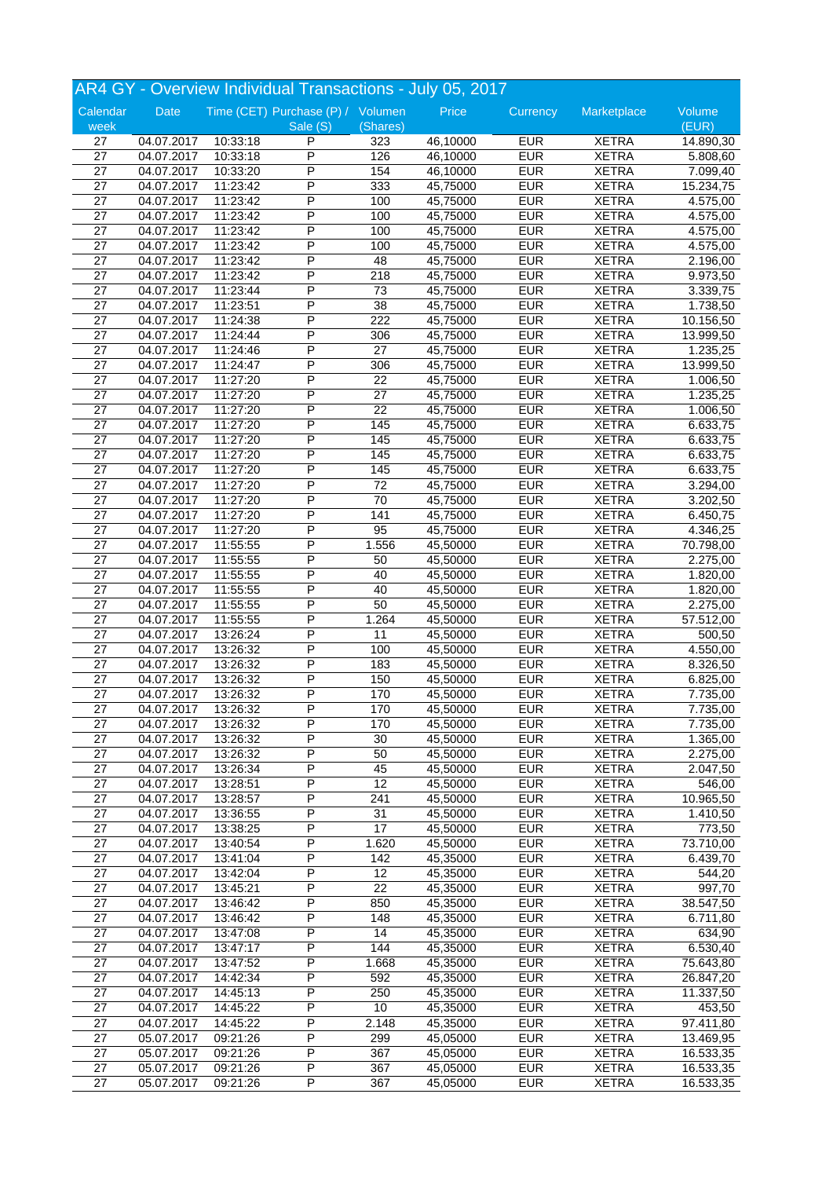|                  |                          |          | AR4 GY - Overview Individual Transactions - July 05, 2017 |                 |                      |                          |                              |                 |
|------------------|--------------------------|----------|-----------------------------------------------------------|-----------------|----------------------|--------------------------|------------------------------|-----------------|
| Calendar<br>week | Date                     |          | Time (CET) Purchase (P) / Volumen<br>Sale (S)             | (Shares)        | Price                | Currency                 | Marketplace                  | Volume<br>(EUR) |
| 27               | 04.07.2017               | 10:33:18 | P                                                         | 323             | 46,10000             | <b>EUR</b>               | <b>XETRA</b>                 | 14.890,30       |
| $\overline{27}$  | 04.07.2017               | 10:33:18 | P                                                         | 126             | 46,10000             | <b>EUR</b>               | <b>XETRA</b>                 | 5.808,60        |
| $\overline{27}$  | 04.07.2017               | 10:33:20 | P                                                         | 154             | 46,10000             | <b>EUR</b>               | <b>XETRA</b>                 | 7.099,40        |
| 27               | 04.07.2017               | 11:23:42 | P                                                         | 333             | 45,75000             | <b>EUR</b>               | <b>XETRA</b>                 | 15.234,75       |
| 27               | 04.07.2017               | 11:23:42 | P                                                         | 100             | 45,75000             | <b>EUR</b>               | <b>XETRA</b>                 | 4.575,00        |
| 27               | 04.07.2017               | 11:23:42 | P                                                         | 100             | 45,75000             | <b>EUR</b>               | <b>XETRA</b>                 | 4.575,00        |
| 27               | 04.07.2017               | 11:23:42 | P                                                         | 100             | 45,75000             | <b>EUR</b>               | <b>XETRA</b>                 | 4.575,00        |
| 27               | 04.07.2017               | 11:23:42 | P                                                         | 100             | 45,75000             | <b>EUR</b>               | <b>XETRA</b>                 | 4.575,00        |
| $\overline{27}$  | 04.07.2017               | 11:23:42 | P                                                         | 48              | 45,75000             | <b>EUR</b>               | <b>XETRA</b>                 | 2.196,00        |
| 27               | 04.07.2017               | 11:23:42 | Ρ                                                         | 218             | 45,75000             | <b>EUR</b>               | <b>XETRA</b>                 | 9.973,50        |
| 27               | 04.07.2017               | 11:23:44 | P                                                         | $\overline{73}$ | 45,75000             | <b>EUR</b>               | <b>XETRA</b>                 | 3.339,75        |
| $\overline{27}$  | 04.07.2017               | 11:23:51 | P                                                         | 38              | 45,75000             | <b>EUR</b>               | <b>XETRA</b>                 | 1.738,50        |
| 27               | 04.07.2017               | 11:24:38 | P                                                         | 222             | 45,75000             | <b>EUR</b>               | <b>XETRA</b>                 | 10.156,50       |
| 27               | 04.07.2017               | 11:24:44 | P                                                         | 306             | 45,75000             | <b>EUR</b>               | <b>XETRA</b>                 | 13.999,50       |
| 27               | 04.07.2017               | 11:24:46 | P                                                         | 27              | 45,75000             | <b>EUR</b>               | <b>XETRA</b>                 | 1.235,25        |
| 27               | 04.07.2017               | 11:24:47 | P                                                         | 306             | 45,75000             | <b>EUR</b>               | <b>XETRA</b>                 | 13.999,50       |
| 27               | 04.07.2017               | 11:27:20 | P                                                         | 22              | 45,75000             | <b>EUR</b>               | <b>XETRA</b>                 | 1.006,50        |
| 27               | 04.07.2017               | 11:27:20 | P                                                         | 27              | 45,75000             | <b>EUR</b>               | <b>XETRA</b>                 | 1.235,25        |
| $\overline{27}$  | 04.07.2017               | 11:27:20 | P                                                         | $\overline{22}$ | 45,75000             | <b>EUR</b>               | <b>XETRA</b>                 | 1.006,50        |
| 27               | 04.07.2017               | 11:27:20 | P                                                         | 145             | 45,75000             | <b>EUR</b>               | <b>XETRA</b>                 | 6.633,75        |
| 27               | 04.07.2017               | 11:27:20 | P                                                         | 145             | 45,75000             | <b>EUR</b>               | <b>XETRA</b>                 | 6.633,75        |
| 27               | 04.07.2017               | 11:27:20 | P                                                         | 145             | 45,75000             | <b>EUR</b>               | <b>XETRA</b>                 | 6.633,75        |
| 27               | 04.07.2017               | 11:27:20 | P                                                         | 145             | 45,75000             | <b>EUR</b>               | <b>XETRA</b>                 | 6.633,75        |
| 27               | 04.07.2017               | 11:27:20 | Ρ                                                         | 72              | 45,75000             | <b>EUR</b>               | <b>XETRA</b>                 | 3.294,00        |
| 27               | 04.07.2017               | 11:27:20 | P                                                         | 70              | 45,75000             | <b>EUR</b>               | <b>XETRA</b>                 | 3.202,50        |
| 27               | 04.07.2017               | 11:27:20 | P                                                         | 141             | 45,75000             | EUR                      | <b>XETRA</b>                 | 6.450,75        |
| 27               | 04.07.2017               | 11:27:20 | P                                                         | 95              | 45,75000             | <b>EUR</b>               | <b>XETRA</b>                 | 4.346,25        |
| 27               | 04.07.2017               | 11:55:55 | P                                                         | 1.556           | 45,50000             | <b>EUR</b>               | <b>XETRA</b>                 | 70.798,00       |
| 27               | 04.07.2017               | 11:55:55 | P                                                         | 50              | 45,50000             | <b>EUR</b>               | <b>XETRA</b>                 | 2.275,00        |
| $\overline{27}$  | 04.07.2017               |          | P                                                         | 40              | 45,50000             | <b>EUR</b>               | <b>XETRA</b>                 |                 |
| 27               |                          | 11:55:55 | P                                                         | 40              |                      | <b>EUR</b>               | <b>XETRA</b>                 | 1.820,00        |
|                  | 04.07.2017               | 11:55:55 | P                                                         |                 | 45,50000             |                          |                              | 1.820,00        |
| 27<br>27         | 04.07.2017               | 11:55:55 | Ρ                                                         | 50<br>1.264     | 45,50000<br>45,50000 | <b>EUR</b><br><b>EUR</b> | <b>XETRA</b><br><b>XETRA</b> | 2.275,00        |
|                  | 04.07.2017               | 11:55:55 | P                                                         |                 |                      | <b>EUR</b>               |                              | 57.512,00       |
| 27               | 04.07.2017               | 13:26:24 | P                                                         | 11              | 45,50000             |                          | <b>XETRA</b>                 | 500,50          |
| 27               | 04.07.2017               | 13:26:32 | P                                                         | 100             | 45,50000             | <b>EUR</b>               | <b>XETRA</b><br><b>XETRA</b> | 4.550,00        |
| 27               | 04.07.2017               | 13:26:32 | P                                                         | 183             | 45,50000             | <b>EUR</b><br><b>EUR</b> | <b>XETRA</b>                 | 8.326,50        |
| 27               | 04.07.2017               | 13:26:32 |                                                           | 150             | 45,50000             |                          |                              | 6.825,00        |
| 27               | 04.07.2017               | 13:26:32 | P<br>$\overline{P}$                                       | 170             | 45,50000             | <b>EUR</b>               | <b>XETRA</b>                 | 7.735,00        |
| $\overline{27}$  | 04.07.2017               | 13:26:32 |                                                           | 170             | 45,50000             | <b>EUR</b>               | <b>XETRA</b>                 | 7.735,00        |
| 27               | 04.07.2017               | 13:26:32 | P                                                         | 170             | 45,50000             | <b>EUR</b>               | <b>XETRA</b>                 | 7.735,00        |
| 27               | 04.07.2017               | 13:26:32 | P                                                         | 30              | 45,50000             | <b>EUR</b>               | <b>XETRA</b>                 | 1.365,00        |
| 27               | 04.07.2017               | 13:26:32 | P                                                         | 50              | 45,50000             | <b>EUR</b>               | <b>XETRA</b>                 | 2.275,00        |
| 27               | 04.07.2017               | 13:26:34 | P                                                         | 45              | 45,50000             | <b>EUR</b>               | <b>XETRA</b>                 | 2.047,50        |
| 27               | 04.07.2017               | 13:28:51 | Ρ                                                         | 12              | 45,50000             | <b>EUR</b>               | <b>XETRA</b>                 | 546,00          |
| 27               | 04.07.2017               | 13:28:57 | P                                                         | 241             | 45,50000             | <b>EUR</b>               | <b>XETRA</b>                 | 10.965,50       |
| 27               | 04.07.2017               | 13:36:55 | Ρ                                                         | 31              | 45,50000             | <b>EUR</b>               | <b>XETRA</b>                 | 1.410,50        |
| 27               | 04.07.2017               | 13:38:25 | Ρ                                                         | 17              | 45,50000             | <b>EUR</b>               | <b>XETRA</b>                 | 773,50          |
| 27               | 04.07.2017               | 13:40:54 | Ρ                                                         | 1.620           | 45,50000             | <b>EUR</b>               | <b>XETRA</b>                 | 73.710,00       |
| 27               | 04.07.2017               | 13:41:04 | Ρ                                                         | 142             | 45,35000             | <b>EUR</b>               | <b>XETRA</b>                 | 6.439,70        |
| 27               | 04.07.2017               | 13:42:04 | Ρ                                                         | 12              | 45,35000             | <b>EUR</b>               | <b>XETRA</b>                 | 544,20          |
| 27               | 04.07.2017               | 13:45:21 | Ρ                                                         | 22              | 45,35000             | <b>EUR</b>               | <b>XETRA</b>                 | 997,70          |
| 27               | 04.07.2017               | 13:46:42 | P                                                         | 850             | 45,35000             | <b>EUR</b>               | <b>XETRA</b>                 | 38.547,50       |
| $\overline{27}$  | 04.07.2017               | 13:46:42 | P                                                         | 148             | 45,35000             | <b>EUR</b>               | <b>XETRA</b>                 | 6.711,80        |
| 27               | 04.07.2017               | 13:47:08 | P                                                         | 14              | 45,35000             | <b>EUR</b>               | <b>XETRA</b>                 | 634,90          |
| 27               | 04.07.2017               | 13:47:17 | Ρ                                                         | 144             | 45,35000             | <b>EUR</b>               | <b>XETRA</b>                 | 6.530,40        |
| 27               | 04.07.2017               | 13:47:52 | P                                                         | 1.668           | 45,35000             | <b>EUR</b>               | <b>XETRA</b>                 | 75.643,80       |
| 27               | 04.07.2017               | 14:42:34 | P                                                         | 592             | 45,35000             | <b>EUR</b>               | <b>XETRA</b>                 | 26.847,20       |
| 27               | $\overline{04.07}$ .2017 | 14:45:13 | P                                                         | 250             | 45,35000             | <b>EUR</b>               | <b>XETRA</b>                 | 11.337,50       |
| 27               | 04.07.2017               | 14:45:22 | P                                                         | 10              | 45,35000             | <b>EUR</b>               | <b>XETRA</b>                 | 453,50          |
| 27               | 04.07.2017               | 14:45:22 | Ρ                                                         | 2.148           | 45,35000             | <b>EUR</b>               | <b>XETRA</b>                 | 97.411,80       |
| $\overline{27}$  | 05.07.2017               | 09:21:26 | P                                                         | 299             | 45,05000             | <b>EUR</b>               | <b>XETRA</b>                 | 13.469,95       |
| 27               | 05.07.2017               | 09:21:26 | P                                                         | 367             | 45,05000             | <b>EUR</b>               | <b>XETRA</b>                 | 16.533,35       |
| 27               | 05.07.2017               | 09:21:26 | P                                                         | 367             | 45,05000             | <b>EUR</b>               | <b>XETRA</b>                 | 16.533,35       |
| 27               | 05.07.2017               | 09:21:26 | P                                                         | 367             | 45,05000             | <b>EUR</b>               | <b>XETRA</b>                 | 16.533,35       |